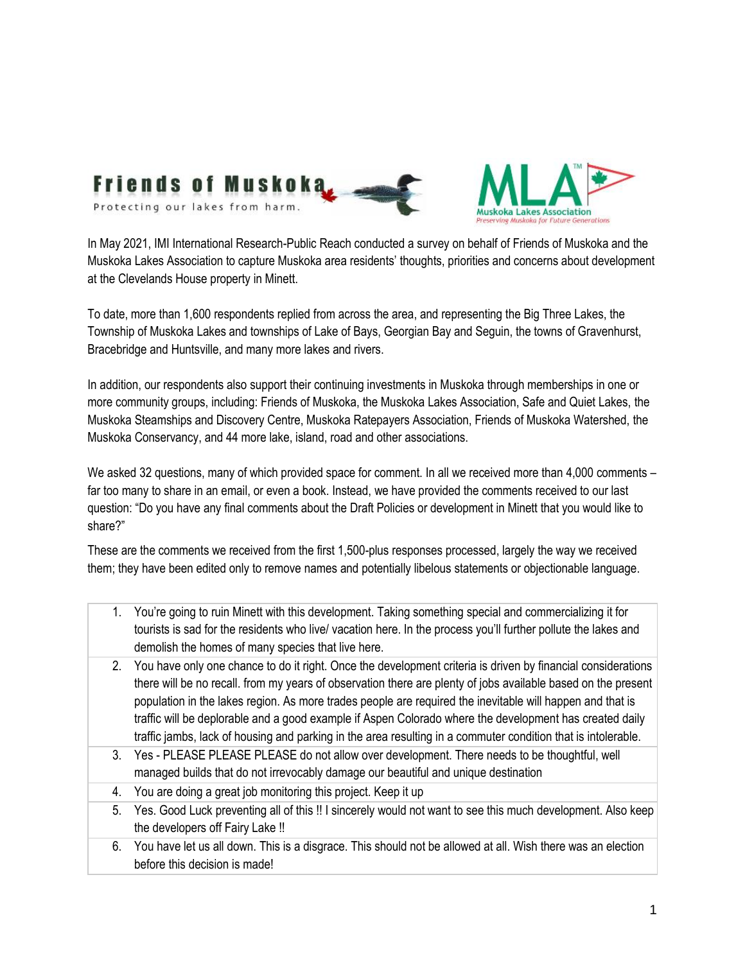

In May 2021, IMI International Research-Public Reach conducted a survey on behalf of Friends of Muskoka and the Muskoka Lakes Association to capture Muskoka area residents' thoughts, priorities and concerns about development at the Clevelands House property in Minett.

To date, more than 1,600 respondents replied from across the area, and representing the Big Three Lakes, the Township of Muskoka Lakes and townships of Lake of Bays, Georgian Bay and Seguin, the towns of Gravenhurst, Bracebridge and Huntsville, and many more lakes and rivers.

In addition, our respondents also support their continuing investments in Muskoka through memberships in one or more community groups, including: Friends of Muskoka, the Muskoka Lakes Association, Safe and Quiet Lakes, the Muskoka Steamships and Discovery Centre, Muskoka Ratepayers Association, Friends of Muskoka Watershed, the Muskoka Conservancy, and 44 more lake, island, road and other associations.

We asked 32 questions, many of which provided space for comment. In all we received more than 4,000 comments – far too many to share in an email, or even a book. Instead, we have provided the comments received to our last question: "Do you have any final comments about the Draft Policies or development in Minett that you would like to share?"

These are the comments we received from the first 1,500-plus responses processed, largely the way we received them; they have been edited only to remove names and potentially libelous statements or objectionable language.

- 1. You're going to ruin Minett with this development. Taking something special and commercializing it for tourists is sad for the residents who live/ vacation here. In the process you'll further pollute the lakes and demolish the homes of many species that live here.
- 2. You have only one chance to do it right. Once the development criteria is driven by financial considerations there will be no recall. from my years of observation there are plenty of jobs available based on the present population in the lakes region. As more trades people are required the inevitable will happen and that is traffic will be deplorable and a good example if Aspen Colorado where the development has created daily traffic jambs, lack of housing and parking in the area resulting in a commuter condition that is intolerable.
- 3. Yes PLEASE PLEASE PLEASE do not allow over development. There needs to be thoughtful, well managed builds that do not irrevocably damage our beautiful and unique destination
- 4. You are doing a great job monitoring this project. Keep it up
- 5. Yes. Good Luck preventing all of this !! I sincerely would not want to see this much development. Also keep the developers off Fairy Lake !!
- 6. You have let us all down. This is a disgrace. This should not be allowed at all. Wish there was an election before this decision is made!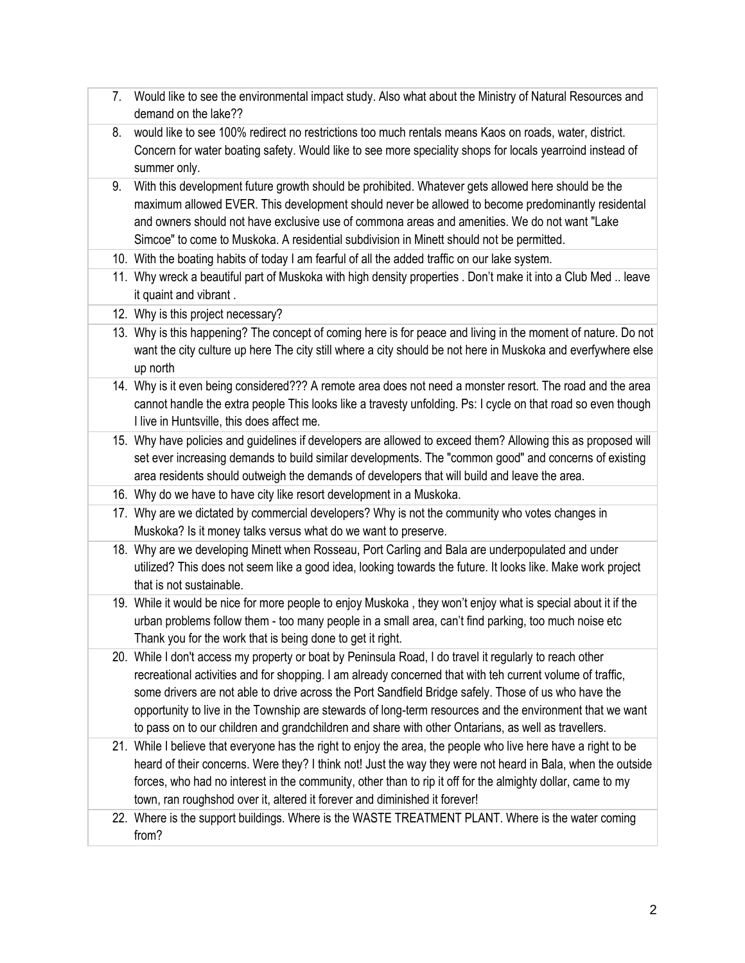- 7. Would like to see the environmental impact study. Also what about the Ministry of Natural Resources and demand on the lake??
- 8. would like to see 100% redirect no restrictions too much rentals means Kaos on roads, water, district. Concern for water boating safety. Would like to see more speciality shops for locals yearroind instead of summer only.
- 9. With this development future growth should be prohibited. Whatever gets allowed here should be the maximum allowed EVER. This development should never be allowed to become predominantly residental and owners should not have exclusive use of commona areas and amenities. We do not want "Lake Simcoe" to come to Muskoka. A residential subdivision in Minett should not be permitted.
- 10. With the boating habits of today I am fearful of all the added traffic on our lake system.
- 11. Why wreck a beautiful part of Muskoka with high density properties . Don't make it into a Club Med .. leave it quaint and vibrant .
- 12. Why is this project necessary?
- 13. Why is this happening? The concept of coming here is for peace and living in the moment of nature. Do not want the city culture up here The city still where a city should be not here in Muskoka and everfywhere else up north
- 14. Why is it even being considered??? A remote area does not need a monster resort. The road and the area cannot handle the extra people This looks like a travesty unfolding. Ps: I cycle on that road so even though I live in Huntsville, this does affect me.
- 15. Why have policies and guidelines if developers are allowed to exceed them? Allowing this as proposed will set ever increasing demands to build similar developments. The "common good" and concerns of existing area residents should outweigh the demands of developers that will build and leave the area.
- 16. Why do we have to have city like resort development in a Muskoka.
- 17. Why are we dictated by commercial developers? Why is not the community who votes changes in Muskoka? Is it money talks versus what do we want to preserve.
- 18. Why are we developing Minett when Rosseau, Port Carling and Bala are underpopulated and under utilized? This does not seem like a good idea, looking towards the future. It looks like. Make work project that is not sustainable.
- 19. While it would be nice for more people to enjoy Muskoka , they won't enjoy what is special about it if the urban problems follow them - too many people in a small area, can't find parking, too much noise etc Thank you for the work that is being done to get it right.
- 20. While I don't access my property or boat by Peninsula Road, I do travel it regularly to reach other recreational activities and for shopping. I am already concerned that with teh current volume of traffic, some drivers are not able to drive across the Port Sandfield Bridge safely. Those of us who have the opportunity to live in the Township are stewards of long-term resources and the environment that we want to pass on to our children and grandchildren and share with other Ontarians, as well as travellers.
- 21. While I believe that everyone has the right to enjoy the area, the people who live here have a right to be heard of their concerns. Were they? I think not! Just the way they were not heard in Bala, when the outside forces, who had no interest in the community, other than to rip it off for the almighty dollar, came to my town, ran roughshod over it, altered it forever and diminished it forever!
- 22. Where is the support buildings. Where is the WASTE TREATMENT PLANT. Where is the water coming from?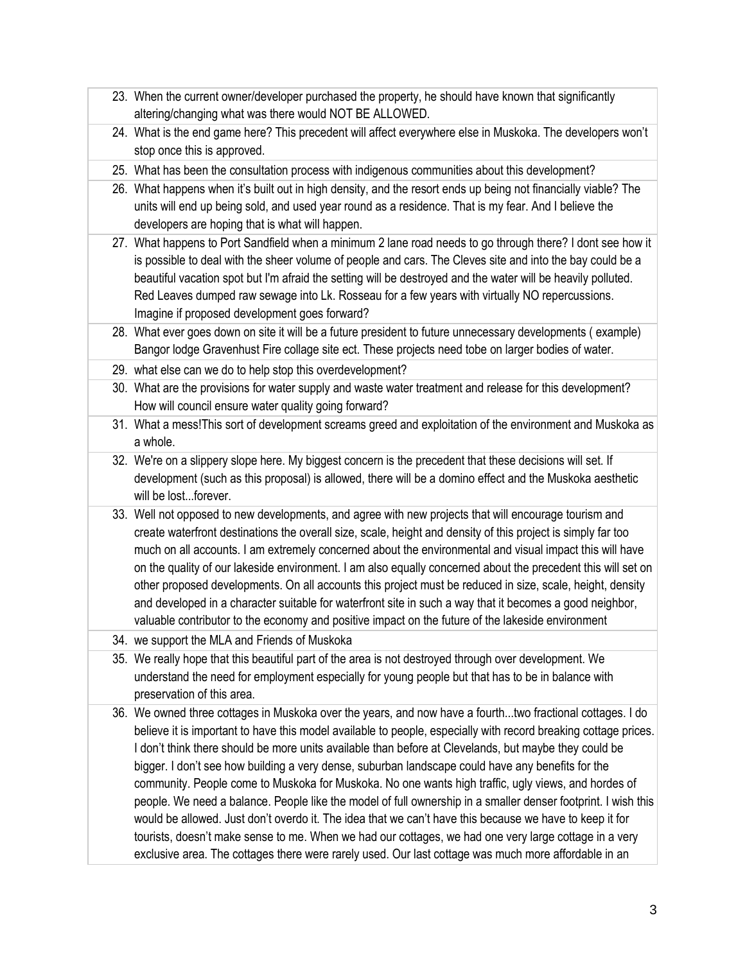- 23. When the current owner/developer purchased the property, he should have known that significantly altering/changing what was there would NOT BE ALLOWED.
- 24. What is the end game here? This precedent will affect everywhere else in Muskoka. The developers won't stop once this is approved.
- 25. What has been the consultation process with indigenous communities about this development?
- 26. What happens when it's built out in high density, and the resort ends up being not financially viable? The units will end up being sold, and used year round as a residence. That is my fear. And I believe the developers are hoping that is what will happen.
- 27. What happens to Port Sandfield when a minimum 2 lane road needs to go through there? I dont see how it is possible to deal with the sheer volume of people and cars. The Cleves site and into the bay could be a beautiful vacation spot but I'm afraid the setting will be destroyed and the water will be heavily polluted. Red Leaves dumped raw sewage into Lk. Rosseau for a few years with virtually NO repercussions. Imagine if proposed development goes forward?
- 28. What ever goes down on site it will be a future president to future unnecessary developments ( example) Bangor lodge Gravenhust Fire collage site ect. These projects need tobe on larger bodies of water.
- 29. what else can we do to help stop this overdevelopment?
- 30. What are the provisions for water supply and waste water treatment and release for this development? How will council ensure water quality going forward?
- 31. What a mess!This sort of development screams greed and exploitation of the environment and Muskoka as a whole.
- 32. We're on a slippery slope here. My biggest concern is the precedent that these decisions will set. If development (such as this proposal) is allowed, there will be a domino effect and the Muskoka aesthetic will be lost...forever.
- 33. Well not opposed to new developments, and agree with new projects that will encourage tourism and create waterfront destinations the overall size, scale, height and density of this project is simply far too much on all accounts. I am extremely concerned about the environmental and visual impact this will have on the quality of our lakeside environment. I am also equally concerned about the precedent this will set on other proposed developments. On all accounts this project must be reduced in size, scale, height, density and developed in a character suitable for waterfront site in such a way that it becomes a good neighbor, valuable contributor to the economy and positive impact on the future of the lakeside environment
- 34. we support the MLA and Friends of Muskoka
- 35. We really hope that this beautiful part of the area is not destroyed through over development. We understand the need for employment especially for young people but that has to be in balance with preservation of this area.
- 36. We owned three cottages in Muskoka over the years, and now have a fourth...two fractional cottages. I do believe it is important to have this model available to people, especially with record breaking cottage prices. I don't think there should be more units available than before at Clevelands, but maybe they could be bigger. I don't see how building a very dense, suburban landscape could have any benefits for the community. People come to Muskoka for Muskoka. No one wants high traffic, ugly views, and hordes of people. We need a balance. People like the model of full ownership in a smaller denser footprint. I wish this would be allowed. Just don't overdo it. The idea that we can't have this because we have to keep it for tourists, doesn't make sense to me. When we had our cottages, we had one very large cottage in a very exclusive area. The cottages there were rarely used. Our last cottage was much more affordable in an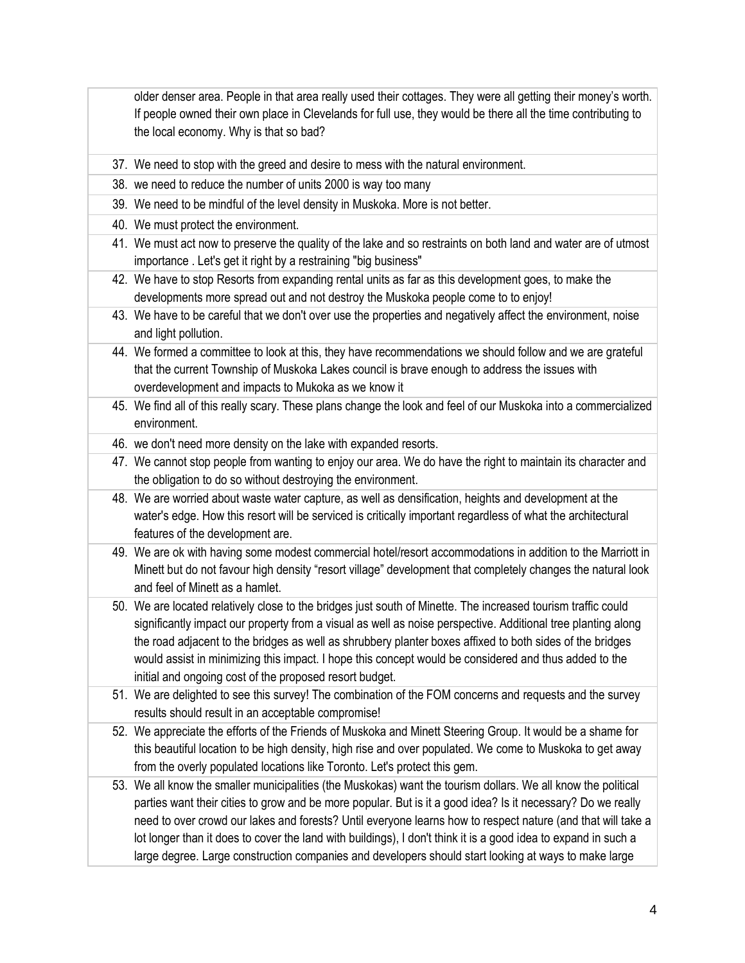older denser area. People in that area really used their cottages. They were all getting their money's worth. If people owned their own place in Clevelands for full use, they would be there all the time contributing to the local economy. Why is that so bad?

- 37. We need to stop with the greed and desire to mess with the natural environment.
- 38. we need to reduce the number of units 2000 is way too many
- 39. We need to be mindful of the level density in Muskoka. More is not better.
- 40. We must protect the environment.
- 41. We must act now to preserve the quality of the lake and so restraints on both land and water are of utmost importance . Let's get it right by a restraining "big business"
- 42. We have to stop Resorts from expanding rental units as far as this development goes, to make the developments more spread out and not destroy the Muskoka people come to to enjoy!
- 43. We have to be careful that we don't over use the properties and negatively affect the environment, noise and light pollution.
- 44. We formed a committee to look at this, they have recommendations we should follow and we are grateful that the current Township of Muskoka Lakes council is brave enough to address the issues with overdevelopment and impacts to Mukoka as we know it
- 45. We find all of this really scary. These plans change the look and feel of our Muskoka into a commercialized environment.
- 46. we don't need more density on the lake with expanded resorts.
- 47. We cannot stop people from wanting to enjoy our area. We do have the right to maintain its character and the obligation to do so without destroying the environment.
- 48. We are worried about waste water capture, as well as densification, heights and development at the water's edge. How this resort will be serviced is critically important regardless of what the architectural features of the development are.
- 49. We are ok with having some modest commercial hotel/resort accommodations in addition to the Marriott in Minett but do not favour high density "resort village" development that completely changes the natural look and feel of Minett as a hamlet.
- 50. We are located relatively close to the bridges just south of Minette. The increased tourism traffic could significantly impact our property from a visual as well as noise perspective. Additional tree planting along the road adjacent to the bridges as well as shrubbery planter boxes affixed to both sides of the bridges would assist in minimizing this impact. I hope this concept would be considered and thus added to the initial and ongoing cost of the proposed resort budget.
- 51. We are delighted to see this survey! The combination of the FOM concerns and requests and the survey results should result in an acceptable compromise!
- 52. We appreciate the efforts of the Friends of Muskoka and Minett Steering Group. It would be a shame for this beautiful location to be high density, high rise and over populated. We come to Muskoka to get away from the overly populated locations like Toronto. Let's protect this gem.
- 53. We all know the smaller municipalities (the Muskokas) want the tourism dollars. We all know the political parties want their cities to grow and be more popular. But is it a good idea? Is it necessary? Do we really need to over crowd our lakes and forests? Until everyone learns how to respect nature (and that will take a lot longer than it does to cover the land with buildings), I don't think it is a good idea to expand in such a large degree. Large construction companies and developers should start looking at ways to make large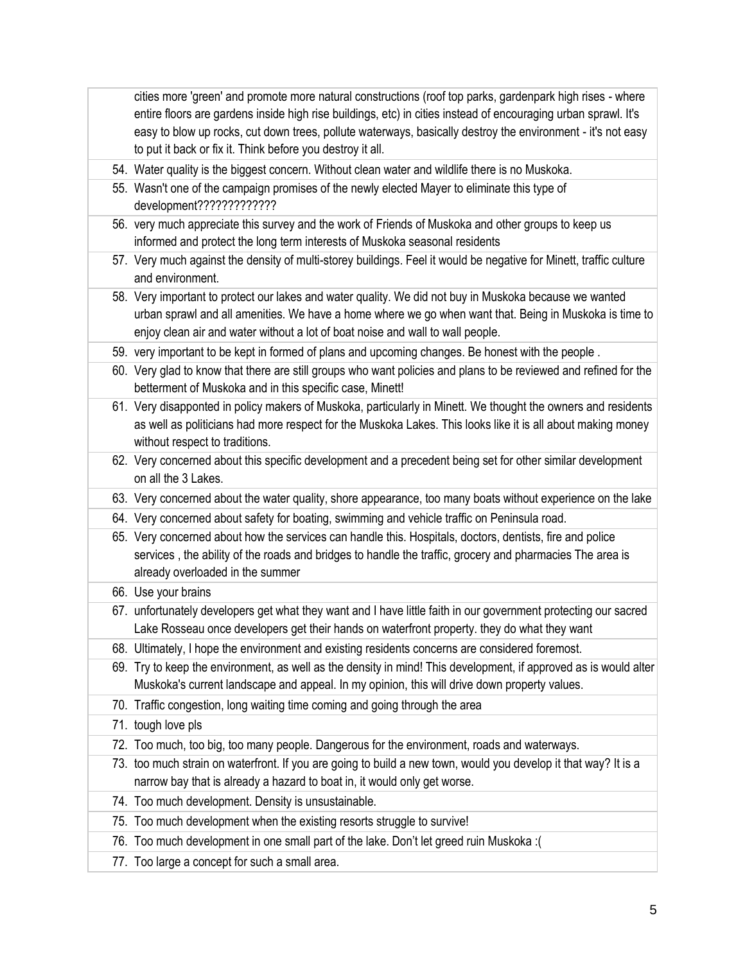cities more 'green' and promote more natural constructions (roof top parks, gardenpark high rises - where entire floors are gardens inside high rise buildings, etc) in cities instead of encouraging urban sprawl. It's easy to blow up rocks, cut down trees, pollute waterways, basically destroy the environment - it's not easy to put it back or fix it. Think before you destroy it all.

- 54. Water quality is the biggest concern. Without clean water and wildlife there is no Muskoka.
- 55. Wasn't one of the campaign promises of the newly elected Mayer to eliminate this type of development?????????????
- 56. very much appreciate this survey and the work of Friends of Muskoka and other groups to keep us informed and protect the long term interests of Muskoka seasonal residents
- 57. Very much against the density of multi-storey buildings. Feel it would be negative for Minett, traffic culture and environment.
- 58. Very important to protect our lakes and water quality. We did not buy in Muskoka because we wanted urban sprawl and all amenities. We have a home where we go when want that. Being in Muskoka is time to enjoy clean air and water without a lot of boat noise and wall to wall people.
- 59. very important to be kept in formed of plans and upcoming changes. Be honest with the people .
- 60. Very glad to know that there are still groups who want policies and plans to be reviewed and refined for the betterment of Muskoka and in this specific case, Minett!
- 61. Very disapponted in policy makers of Muskoka, particularly in Minett. We thought the owners and residents as well as politicians had more respect for the Muskoka Lakes. This looks like it is all about making money without respect to traditions.
- 62. Very concerned about this specific development and a precedent being set for other similar development on all the 3 Lakes.
- 63. Very concerned about the water quality, shore appearance, too many boats without experience on the lake
- 64. Very concerned about safety for boating, swimming and vehicle traffic on Peninsula road.
- 65. Very concerned about how the services can handle this. Hospitals, doctors, dentists, fire and police services, the ability of the roads and bridges to handle the traffic, grocery and pharmacies The area is already overloaded in the summer
- 66. Use your brains
- 67. unfortunately developers get what they want and I have little faith in our government protecting our sacred Lake Rosseau once developers get their hands on waterfront property. they do what they want
- 68. Ultimately, I hope the environment and existing residents concerns are considered foremost.
- 69. Try to keep the environment, as well as the density in mind! This development, if approved as is would alter Muskoka's current landscape and appeal. In my opinion, this will drive down property values.
- 70. Traffic congestion, long waiting time coming and going through the area
- 71. tough love pls
- 72. Too much, too big, too many people. Dangerous for the environment, roads and waterways.
- 73. too much strain on waterfront. If you are going to build a new town, would you develop it that way? It is a narrow bay that is already a hazard to boat in, it would only get worse.
- 74. Too much development. Density is unsustainable.
- 75. Too much development when the existing resorts struggle to survive!
- 76. Too much development in one small part of the lake. Don't let greed ruin Muskoka :(
- 77. Too large a concept for such a small area.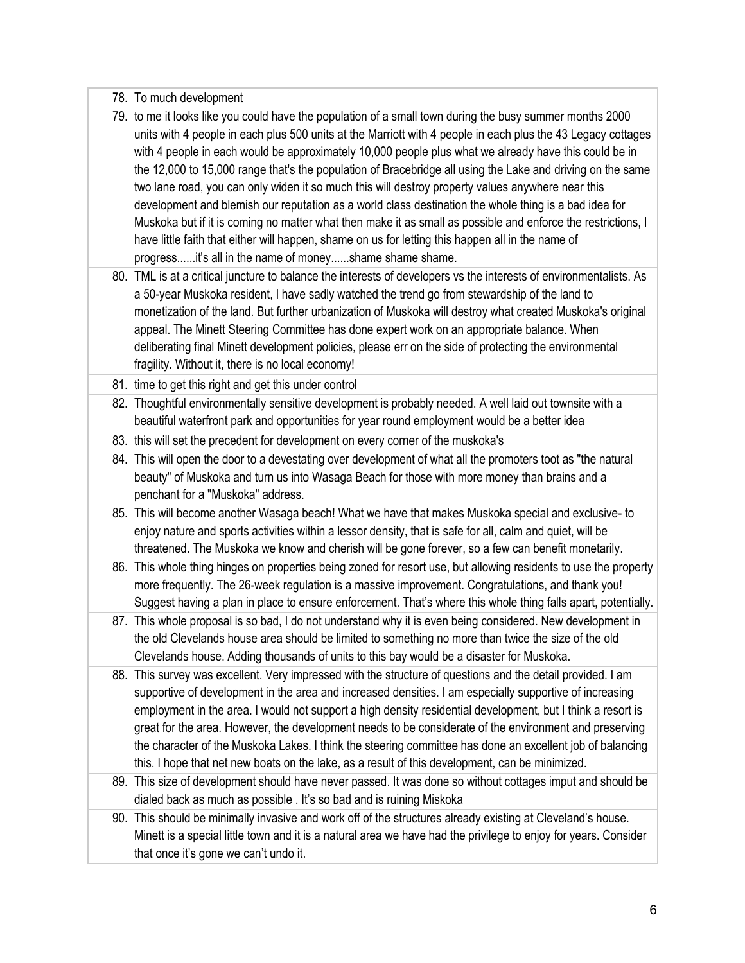|  |  | 78. To much development |
|--|--|-------------------------|
|--|--|-------------------------|

79. to me it looks like you could have the population of a small town during the busy summer months 2000 units with 4 people in each plus 500 units at the Marriott with 4 people in each plus the 43 Legacy cottages with 4 people in each would be approximately 10,000 people plus what we already have this could be in the 12,000 to 15,000 range that's the population of Bracebridge all using the Lake and driving on the same two lane road, you can only widen it so much this will destroy property values anywhere near this development and blemish our reputation as a world class destination the whole thing is a bad idea for Muskoka but if it is coming no matter what then make it as small as possible and enforce the restrictions, I have little faith that either will happen, shame on us for letting this happen all in the name of progress......it's all in the name of money......shame shame shame.

80. TML is at a critical juncture to balance the interests of developers vs the interests of environmentalists. As a 50-year Muskoka resident, I have sadly watched the trend go from stewardship of the land to monetization of the land. But further urbanization of Muskoka will destroy what created Muskoka's original appeal. The Minett Steering Committee has done expert work on an appropriate balance. When deliberating final Minett development policies, please err on the side of protecting the environmental fragility. Without it, there is no local economy!

- 81. time to get this right and get this under control
- 82. Thoughtful environmentally sensitive development is probably needed. A well laid out townsite with a beautiful waterfront park and opportunities for year round employment would be a better idea
- 83. this will set the precedent for development on every corner of the muskoka's
- 84. This will open the door to a devestating over development of what all the promoters toot as "the natural beauty" of Muskoka and turn us into Wasaga Beach for those with more money than brains and a penchant for a "Muskoka" address.
- 85. This will become another Wasaga beach! What we have that makes Muskoka special and exclusive- to enjoy nature and sports activities within a lessor density, that is safe for all, calm and quiet, will be threatened. The Muskoka we know and cherish will be gone forever, so a few can benefit monetarily.
- 86. This whole thing hinges on properties being zoned for resort use, but allowing residents to use the property more frequently. The 26-week regulation is a massive improvement. Congratulations, and thank you! Suggest having a plan in place to ensure enforcement. That's where this whole thing falls apart, potentially.
- 87. This whole proposal is so bad, I do not understand why it is even being considered. New development in the old Clevelands house area should be limited to something no more than twice the size of the old Clevelands house. Adding thousands of units to this bay would be a disaster for Muskoka.
- 88. This survey was excellent. Very impressed with the structure of questions and the detail provided. I am supportive of development in the area and increased densities. I am especially supportive of increasing employment in the area. I would not support a high density residential development, but I think a resort is great for the area. However, the development needs to be considerate of the environment and preserving the character of the Muskoka Lakes. I think the steering committee has done an excellent job of balancing this. I hope that net new boats on the lake, as a result of this development, can be minimized.
- 89. This size of development should have never passed. It was done so without cottages imput and should be dialed back as much as possible . It's so bad and is ruining Miskoka

90. This should be minimally invasive and work off of the structures already existing at Cleveland's house. Minett is a special little town and it is a natural area we have had the privilege to enjoy for years. Consider that once it's gone we can't undo it.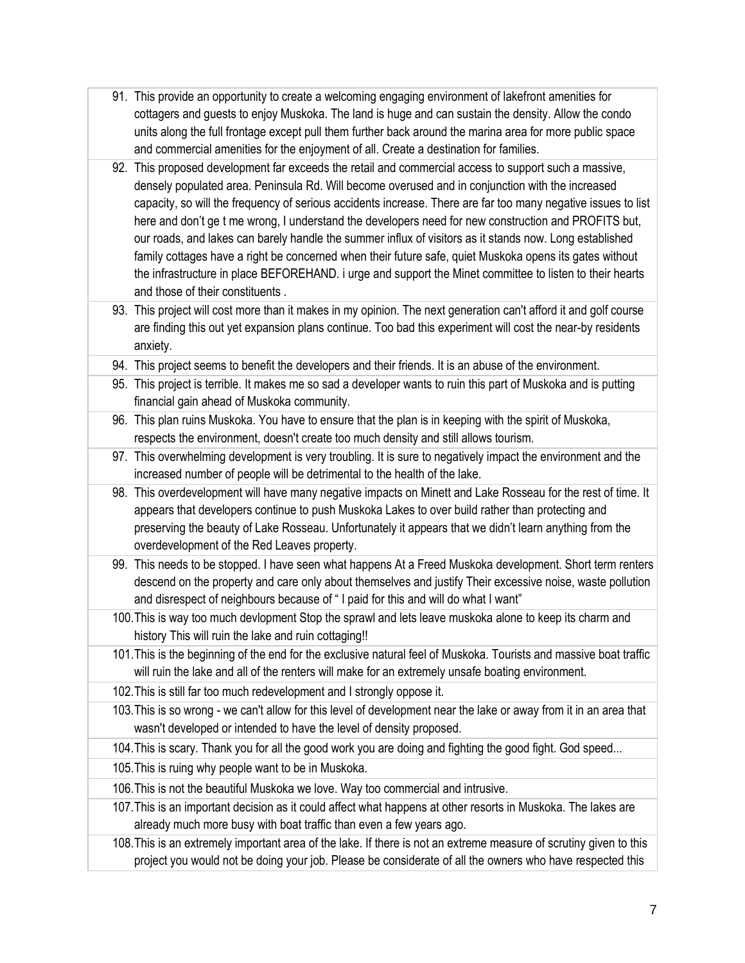- 91. This provide an opportunity to create a welcoming engaging environment of lakefront amenities for cottagers and guests to enjoy Muskoka. The land is huge and can sustain the density. Allow the condo units along the full frontage except pull them further back around the marina area for more public space and commercial amenities for the enjoyment of all. Create a destination for families.
- 92. This proposed development far exceeds the retail and commercial access to support such a massive, densely populated area. Peninsula Rd. Will become overused and in conjunction with the increased capacity, so will the frequency of serious accidents increase. There are far too many negative issues to list here and don't ge t me wrong, I understand the developers need for new construction and PROFITS but, our roads, and lakes can barely handle the summer influx of visitors as it stands now. Long established family cottages have a right be concerned when their future safe, quiet Muskoka opens its gates without the infrastructure in place BEFOREHAND. i urge and support the Minet committee to listen to their hearts and those of their constituents .
- 93. This project will cost more than it makes in my opinion. The next generation can't afford it and golf course are finding this out yet expansion plans continue. Too bad this experiment will cost the near-by residents anxiety.
- 94. This project seems to benefit the developers and their friends. It is an abuse of the environment.
- 95. This project is terrible. It makes me so sad a developer wants to ruin this part of Muskoka and is putting financial gain ahead of Muskoka community.
- 96. This plan ruins Muskoka. You have to ensure that the plan is in keeping with the spirit of Muskoka, respects the environment, doesn't create too much density and still allows tourism.
- 97. This overwhelming development is very troubling. It is sure to negatively impact the environment and the increased number of people will be detrimental to the health of the lake.
- 98. This overdevelopment will have many negative impacts on Minett and Lake Rosseau for the rest of time. It appears that developers continue to push Muskoka Lakes to over build rather than protecting and preserving the beauty of Lake Rosseau. Unfortunately it appears that we didn't learn anything from the overdevelopment of the Red Leaves property.
- 99. This needs to be stopped. I have seen what happens At a Freed Muskoka development. Short term renters descend on the property and care only about themselves and justify Their excessive noise, waste pollution and disrespect of neighbours because of " I paid for this and will do what I want"
- 100.This is way too much devlopment Stop the sprawl and lets leave muskoka alone to keep its charm and history This will ruin the lake and ruin cottaging!!
- 101.This is the beginning of the end for the exclusive natural feel of Muskoka. Tourists and massive boat traffic will ruin the lake and all of the renters will make for an extremely unsafe boating environment.
- 102.This is still far too much redevelopment and I strongly oppose it.
- 103.This is so wrong we can't allow for this level of development near the lake or away from it in an area that wasn't developed or intended to have the level of density proposed.
- 104.This is scary. Thank you for all the good work you are doing and fighting the good fight. God speed...
- 105.This is ruing why people want to be in Muskoka.
- 106.This is not the beautiful Muskoka we love. Way too commercial and intrusive.
- 107.This is an important decision as it could affect what happens at other resorts in Muskoka. The lakes are already much more busy with boat traffic than even a few years ago.
- 108.This is an extremely important area of the lake. If there is not an extreme measure of scrutiny given to this project you would not be doing your job. Please be considerate of all the owners who have respected this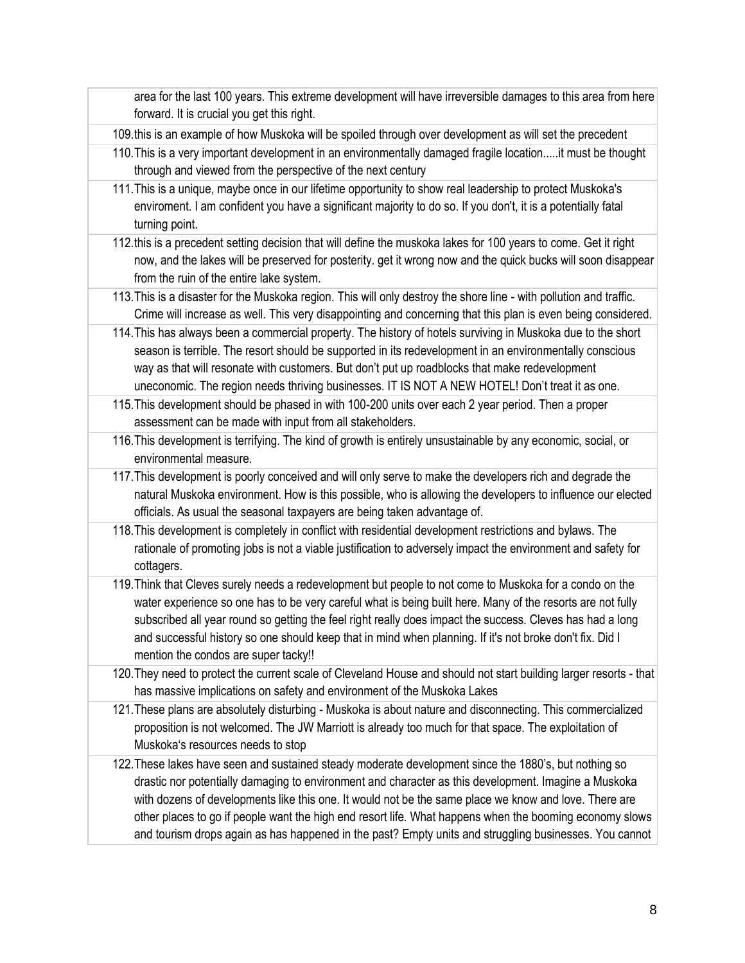area for the last 100 years. This extreme development will have irreversible damages to this area from here forward. It is crucial you get this right.

109.this is an example of how Muskoka will be spoiled through over development as will set the precedent

- 110.This is a very important development in an environmentally damaged fragile location.....it must be thought through and viewed from the perspective of the next century
- 111.This is a unique, maybe once in our lifetime opportunity to show real leadership to protect Muskoka's enviroment. I am confident you have a significant majority to do so. If you don't, it is a potentially fatal turning point.
- 112.this is a precedent setting decision that will define the muskoka lakes for 100 years to come. Get it right now, and the lakes will be preserved for posterity. get it wrong now and the quick bucks will soon disappear from the ruin of the entire lake system.
- 113.This is a disaster for the Muskoka region. This will only destroy the shore line with pollution and traffic. Crime will increase as well. This very disappointing and concerning that this plan is even being considered.
- 114.This has always been a commercial property. The history of hotels surviving in Muskoka due to the short season is terrible. The resort should be supported in its redevelopment in an environmentally conscious way as that will resonate with customers. But don't put up roadblocks that make redevelopment uneconomic. The region needs thriving businesses. IT IS NOT A NEW HOTEL! Don't treat it as one.
- 115.This development should be phased in with 100-200 units over each 2 year period. Then a proper assessment can be made with input from all stakeholders.
- 116.This development is terrifying. The kind of growth is entirely unsustainable by any economic, social, or environmental measure.
- 117.This development is poorly conceived and will only serve to make the developers rich and degrade the natural Muskoka environment. How is this possible, who is allowing the developers to influence our elected officials. As usual the seasonal taxpayers are being taken advantage of.
- 118.This development is completely in conflict with residential development restrictions and bylaws. The rationale of promoting jobs is not a viable justification to adversely impact the environment and safety for cottagers.
- 119.Think that Cleves surely needs a redevelopment but people to not come to Muskoka for a condo on the water experience so one has to be very careful what is being built here. Many of the resorts are not fully subscribed all year round so getting the feel right really does impact the success. Cleves has had a long and successful history so one should keep that in mind when planning. If it's not broke don't fix. Did I mention the condos are super tacky!!
- 120.They need to protect the current scale of Cleveland House and should not start building larger resorts that has massive implications on safety and environment of the Muskoka Lakes
- 121.These plans are absolutely disturbing Muskoka is about nature and disconnecting. This commercialized proposition is not welcomed. The JW Marriott is already too much for that space. The exploitation of Muskoka's resources needs to stop
- 122.These lakes have seen and sustained steady moderate development since the 1880's, but nothing so drastic nor potentially damaging to environment and character as this development. Imagine a Muskoka with dozens of developments like this one. It would not be the same place we know and love. There are other places to go if people want the high end resort life. What happens when the booming economy slows and tourism drops again as has happened in the past? Empty units and struggling businesses. You cannot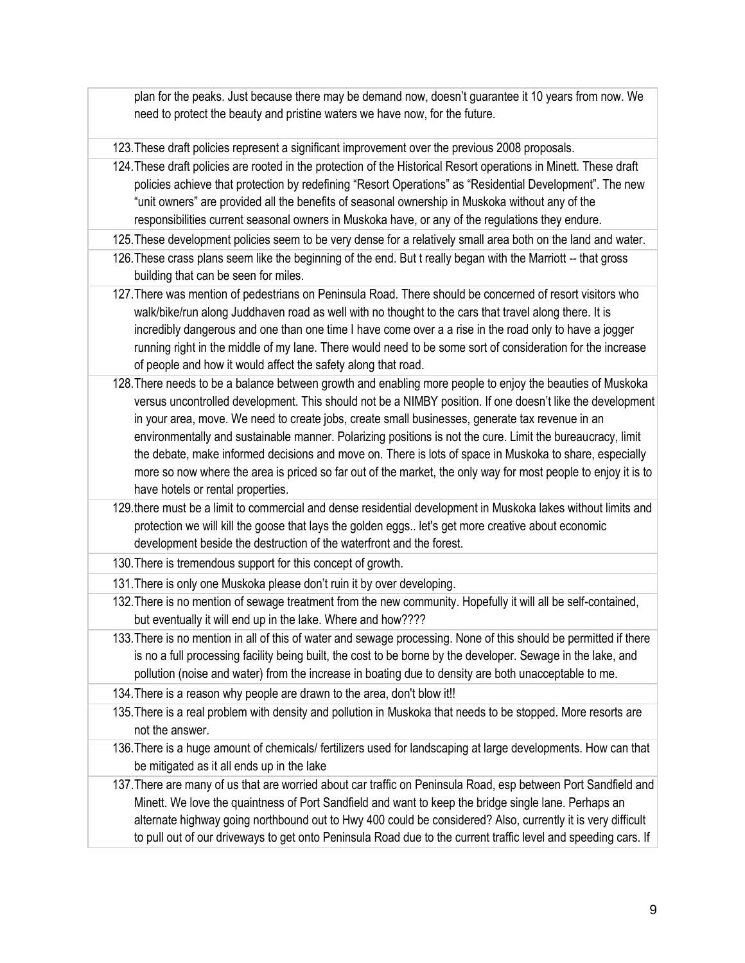plan for the peaks. Just because there may be demand now, doesn't guarantee it 10 years from now. We need to protect the beauty and pristine waters we have now, for the future.

123.These draft policies represent a significant improvement over the previous 2008 proposals.

124.These draft policies are rooted in the protection of the Historical Resort operations in Minett. These draft policies achieve that protection by redefining "Resort Operations" as "Residential Development". The new "unit owners" are provided all the benefits of seasonal ownership in Muskoka without any of the responsibilities current seasonal owners in Muskoka have, or any of the regulations they endure.

125.These development policies seem to be very dense for a relatively small area both on the land and water.

- 126.These crass plans seem like the beginning of the end. But t really began with the Marriott -- that gross building that can be seen for miles.
- 127.There was mention of pedestrians on Peninsula Road. There should be concerned of resort visitors who walk/bike/run along Juddhaven road as well with no thought to the cars that travel along there. It is incredibly dangerous and one than one time I have come over a a rise in the road only to have a jogger running right in the middle of my lane. There would need to be some sort of consideration for the increase of people and how it would affect the safety along that road.
- 128.There needs to be a balance between growth and enabling more people to enjoy the beauties of Muskoka versus uncontrolled development. This should not be a NIMBY position. If one doesn't like the development in your area, move. We need to create jobs, create small businesses, generate tax revenue in an environmentally and sustainable manner. Polarizing positions is not the cure. Limit the bureaucracy, limit the debate, make informed decisions and move on. There is lots of space in Muskoka to share, especially more so now where the area is priced so far out of the market, the only way for most people to enjoy it is to have hotels or rental properties.
- 129.there must be a limit to commercial and dense residential development in Muskoka lakes without limits and protection we will kill the goose that lays the golden eggs.. let's get more creative about economic development beside the destruction of the waterfront and the forest.

130.There is tremendous support for this concept of growth.

- 131.There is only one Muskoka please don't ruin it by over developing.
- 132.There is no mention of sewage treatment from the new community. Hopefully it will all be self-contained, but eventually it will end up in the lake. Where and how????
- 133.There is no mention in all of this of water and sewage processing. None of this should be permitted if there is no a full processing facility being built, the cost to be borne by the developer. Sewage in the lake, and pollution (noise and water) from the increase in boating due to density are both unacceptable to me.

134.There is a reason why people are drawn to the area, don't blow it!!

- 135.There is a real problem with density and pollution in Muskoka that needs to be stopped. More resorts are not the answer.
- 136.There is a huge amount of chemicals/ fertilizers used for landscaping at large developments. How can that be mitigated as it all ends up in the lake
- 137.There are many of us that are worried about car traffic on Peninsula Road, esp between Port Sandfield and Minett. We love the quaintness of Port Sandfield and want to keep the bridge single lane. Perhaps an alternate highway going northbound out to Hwy 400 could be considered? Also, currently it is very difficult to pull out of our driveways to get onto Peninsula Road due to the current traffic level and speeding cars. If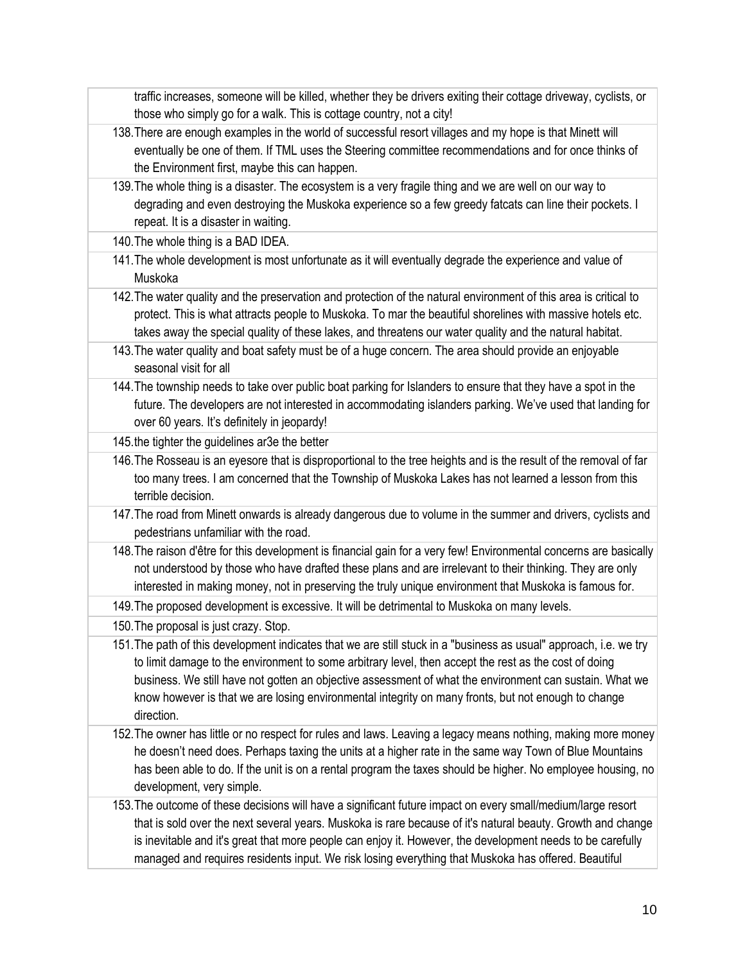traffic increases, someone will be killed, whether they be drivers exiting their cottage driveway, cyclists, or those who simply go for a walk. This is cottage country, not a city!

- 138.There are enough examples in the world of successful resort villages and my hope is that Minett will eventually be one of them. If TML uses the Steering committee recommendations and for once thinks of the Environment first, maybe this can happen.
- 139.The whole thing is a disaster. The ecosystem is a very fragile thing and we are well on our way to degrading and even destroying the Muskoka experience so a few greedy fatcats can line their pockets. I repeat. It is a disaster in waiting.

140.The whole thing is a BAD IDEA.

- 141.The whole development is most unfortunate as it will eventually degrade the experience and value of Muskoka
- 142.The water quality and the preservation and protection of the natural environment of this area is critical to protect. This is what attracts people to Muskoka. To mar the beautiful shorelines with massive hotels etc. takes away the special quality of these lakes, and threatens our water quality and the natural habitat.
- 143.The water quality and boat safety must be of a huge concern. The area should provide an enjoyable seasonal visit for all
- 144.The township needs to take over public boat parking for Islanders to ensure that they have a spot in the future. The developers are not interested in accommodating islanders parking. We've used that landing for over 60 years. It's definitely in jeopardy!

145.the tighter the guidelines ar3e the better

- 146.The Rosseau is an eyesore that is disproportional to the tree heights and is the result of the removal of far too many trees. I am concerned that the Township of Muskoka Lakes has not learned a lesson from this terrible decision.
- 147.The road from Minett onwards is already dangerous due to volume in the summer and drivers, cyclists and pedestrians unfamiliar with the road.
- 148.The raison d'être for this development is financial gain for a very few! Environmental concerns are basically not understood by those who have drafted these plans and are irrelevant to their thinking. They are only interested in making money, not in preserving the truly unique environment that Muskoka is famous for.

149.The proposed development is excessive. It will be detrimental to Muskoka on many levels.

150.The proposal is just crazy. Stop.

- 151.The path of this development indicates that we are still stuck in a "business as usual" approach, i.e. we try to limit damage to the environment to some arbitrary level, then accept the rest as the cost of doing business. We still have not gotten an objective assessment of what the environment can sustain. What we know however is that we are losing environmental integrity on many fronts, but not enough to change direction.
- 152.The owner has little or no respect for rules and laws. Leaving a legacy means nothing, making more money he doesn't need does. Perhaps taxing the units at a higher rate in the same way Town of Blue Mountains has been able to do. If the unit is on a rental program the taxes should be higher. No employee housing, no development, very simple.
- 153.The outcome of these decisions will have a significant future impact on every small/medium/large resort that is sold over the next several years. Muskoka is rare because of it's natural beauty. Growth and change is inevitable and it's great that more people can enjoy it. However, the development needs to be carefully managed and requires residents input. We risk losing everything that Muskoka has offered. Beautiful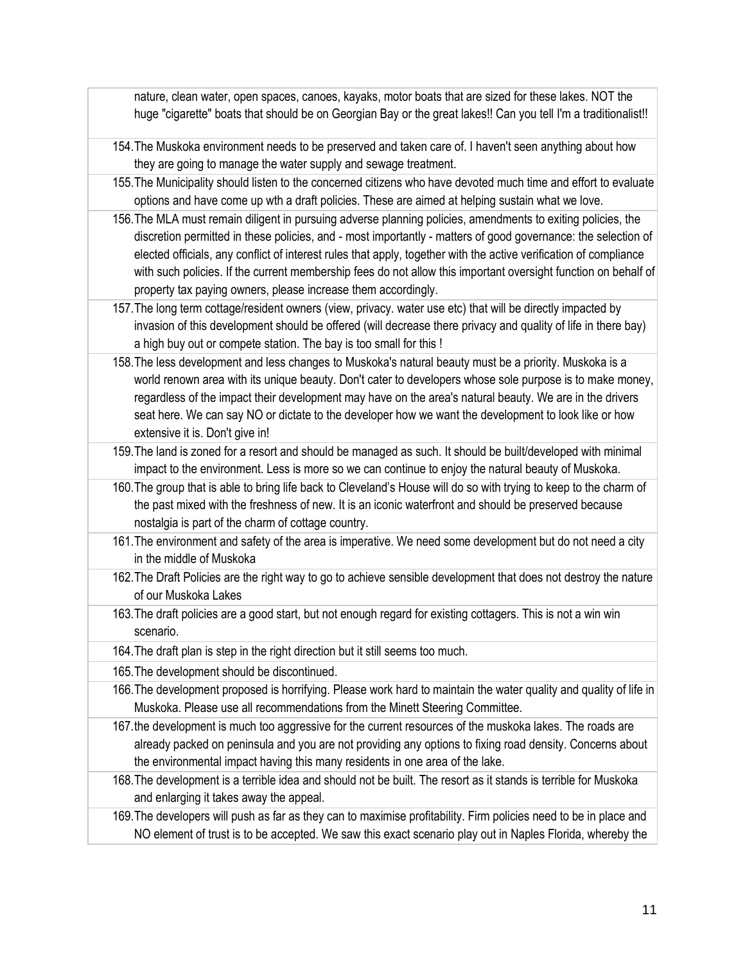nature, clean water, open spaces, canoes, kayaks, motor boats that are sized for these lakes. NOT the huge "cigarette" boats that should be on Georgian Bay or the great lakes!! Can you tell I'm a traditionalist!!

- 154.The Muskoka environment needs to be preserved and taken care of. I haven't seen anything about how they are going to manage the water supply and sewage treatment.
- 155.The Municipality should listen to the concerned citizens who have devoted much time and effort to evaluate options and have come up wth a draft policies. These are aimed at helping sustain what we love.
- 156.The MLA must remain diligent in pursuing adverse planning policies, amendments to exiting policies, the discretion permitted in these policies, and - most importantly - matters of good governance: the selection of elected officials, any conflict of interest rules that apply, together with the active verification of compliance with such policies. If the current membership fees do not allow this important oversight function on behalf of property tax paying owners, please increase them accordingly.
- 157.The long term cottage/resident owners (view, privacy. water use etc) that will be directly impacted by invasion of this development should be offered (will decrease there privacy and quality of life in there bay) a high buy out or compete station. The bay is too small for this !
- 158.The less development and less changes to Muskoka's natural beauty must be a priority. Muskoka is a world renown area with its unique beauty. Don't cater to developers whose sole purpose is to make money, regardless of the impact their development may have on the area's natural beauty. We are in the drivers seat here. We can say NO or dictate to the developer how we want the development to look like or how extensive it is. Don't give in!
- 159.The land is zoned for a resort and should be managed as such. It should be built/developed with minimal impact to the environment. Less is more so we can continue to enjoy the natural beauty of Muskoka.
- 160.The group that is able to bring life back to Cleveland's House will do so with trying to keep to the charm of the past mixed with the freshness of new. It is an iconic waterfront and should be preserved because nostalgia is part of the charm of cottage country.
- 161.The environment and safety of the area is imperative. We need some development but do not need a city in the middle of Muskoka
- 162.The Draft Policies are the right way to go to achieve sensible development that does not destroy the nature of our Muskoka Lakes
- 163.The draft policies are a good start, but not enough regard for existing cottagers. This is not a win win scenario.
- 164.The draft plan is step in the right direction but it still seems too much.
- 165.The development should be discontinued.
- 166.The development proposed is horrifying. Please work hard to maintain the water quality and quality of life in Muskoka. Please use all recommendations from the Minett Steering Committee.
- 167.the development is much too aggressive for the current resources of the muskoka lakes. The roads are already packed on peninsula and you are not providing any options to fixing road density. Concerns about the environmental impact having this many residents in one area of the lake.
- 168.The development is a terrible idea and should not be built. The resort as it stands is terrible for Muskoka and enlarging it takes away the appeal.
- 169.The developers will push as far as they can to maximise profitability. Firm policies need to be in place and NO element of trust is to be accepted. We saw this exact scenario play out in Naples Florida, whereby the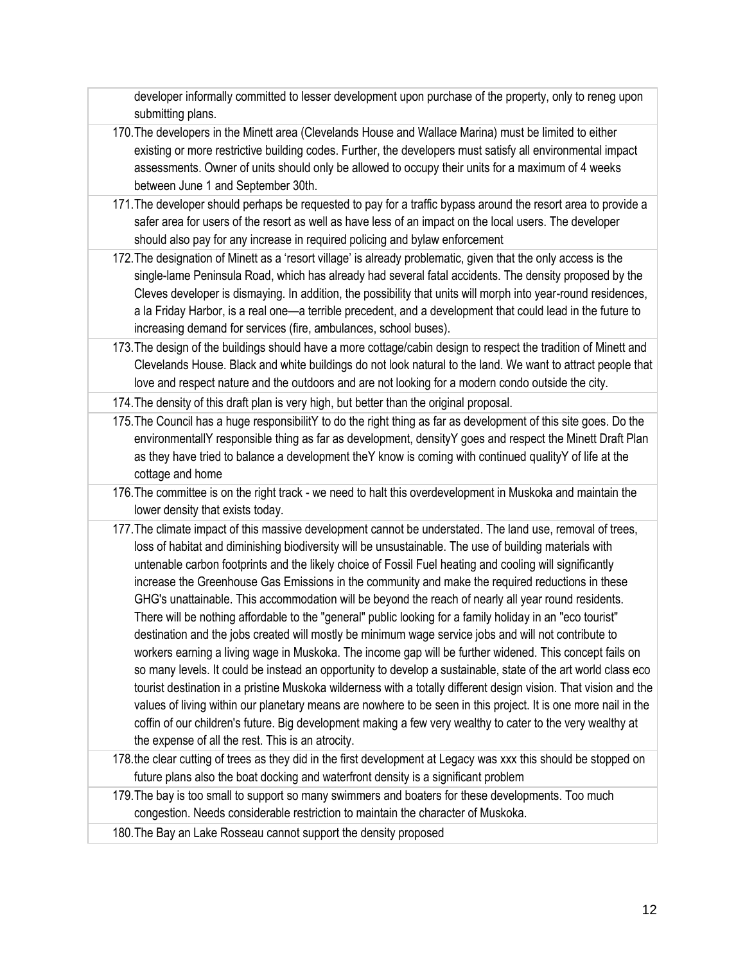developer informally committed to lesser development upon purchase of the property, only to reneg upon submitting plans.

- 170.The developers in the Minett area (Clevelands House and Wallace Marina) must be limited to either existing or more restrictive building codes. Further, the developers must satisfy all environmental impact assessments. Owner of units should only be allowed to occupy their units for a maximum of 4 weeks between June 1 and September 30th.
- 171.The developer should perhaps be requested to pay for a traffic bypass around the resort area to provide a safer area for users of the resort as well as have less of an impact on the local users. The developer should also pay for any increase in required policing and bylaw enforcement
- 172.The designation of Minett as a 'resort village' is already problematic, given that the only access is the single-lame Peninsula Road, which has already had several fatal accidents. The density proposed by the Cleves developer is dismaying. In addition, the possibility that units will morph into year-round residences, a la Friday Harbor, is a real one—a terrible precedent, and a development that could lead in the future to increasing demand for services (fire, ambulances, school buses).
- 173.The design of the buildings should have a more cottage/cabin design to respect the tradition of Minett and Clevelands House. Black and white buildings do not look natural to the land. We want to attract people that love and respect nature and the outdoors and are not looking for a modern condo outside the city.

174.The density of this draft plan is very high, but better than the original proposal.

- 175.The Council has a huge responsibilitY to do the right thing as far as development of this site goes. Do the environmentallY responsible thing as far as development, densityY goes and respect the Minett Draft Plan as they have tried to balance a development theY know is coming with continued qualityY of life at the cottage and home
- 176.The committee is on the right track we need to halt this overdevelopment in Muskoka and maintain the lower density that exists today.
- 177.The climate impact of this massive development cannot be understated. The land use, removal of trees, loss of habitat and diminishing biodiversity will be unsustainable. The use of building materials with untenable carbon footprints and the likely choice of Fossil Fuel heating and cooling will significantly increase the Greenhouse Gas Emissions in the community and make the required reductions in these GHG's unattainable. This accommodation will be beyond the reach of nearly all year round residents. There will be nothing affordable to the "general" public looking for a family holiday in an "eco tourist" destination and the jobs created will mostly be minimum wage service jobs and will not contribute to workers earning a living wage in Muskoka. The income gap will be further widened. This concept fails on so many levels. It could be instead an opportunity to develop a sustainable, state of the art world class eco tourist destination in a pristine Muskoka wilderness with a totally different design vision. That vision and the values of living within our planetary means are nowhere to be seen in this project. It is one more nail in the coffin of our children's future. Big development making a few very wealthy to cater to the very wealthy at the expense of all the rest. This is an atrocity.
- 178.the clear cutting of trees as they did in the first development at Legacy was xxx this should be stopped on future plans also the boat docking and waterfront density is a significant problem
- 179.The bay is too small to support so many swimmers and boaters for these developments. Too much congestion. Needs considerable restriction to maintain the character of Muskoka.
- 180.The Bay an Lake Rosseau cannot support the density proposed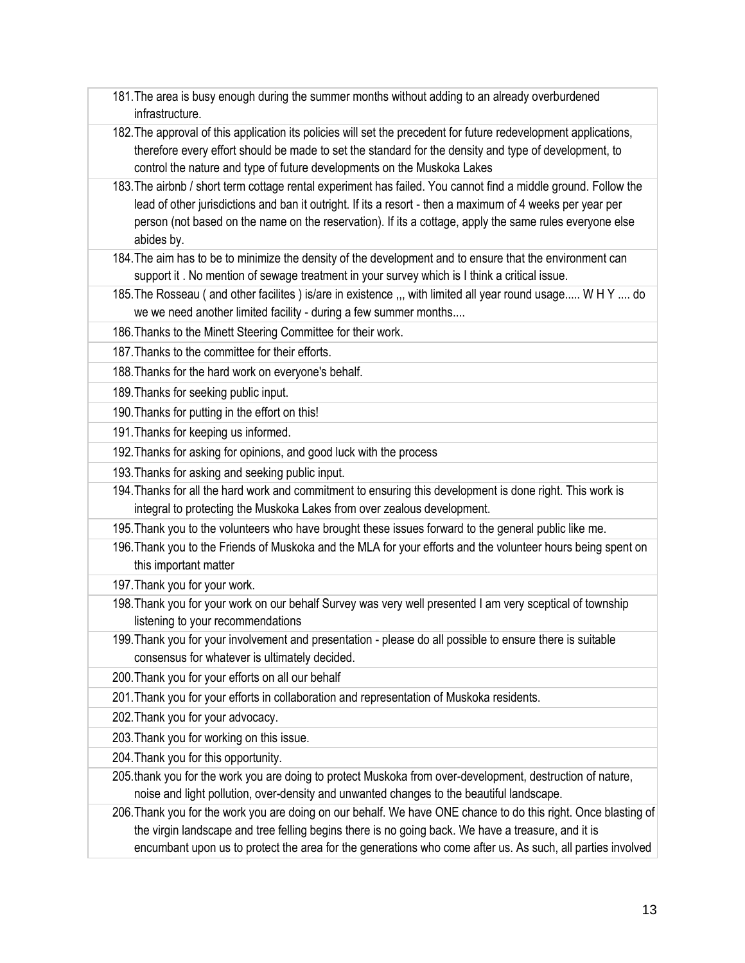- 181.The area is busy enough during the summer months without adding to an already overburdened infrastructure.
- 182.The approval of this application its policies will set the precedent for future redevelopment applications, therefore every effort should be made to set the standard for the density and type of development, to control the nature and type of future developments on the Muskoka Lakes
- 183.The airbnb / short term cottage rental experiment has failed. You cannot find a middle ground. Follow the lead of other jurisdictions and ban it outright. If its a resort - then a maximum of 4 weeks per year per person (not based on the name on the reservation). If its a cottage, apply the same rules everyone else abides by.
- 184.The aim has to be to minimize the density of the development and to ensure that the environment can support it . No mention of sewage treatment in your survey which is I think a critical issue.
- 185.The Rosseau ( and other facilites ) is/are in existence ,,, with limited all year round usage..... W H Y .... do we we need another limited facility - during a few summer months....
- 186.Thanks to the Minett Steering Committee for their work.
- 187.Thanks to the committee for their efforts.
- 188.Thanks for the hard work on everyone's behalf.
- 189.Thanks for seeking public input.
- 190.Thanks for putting in the effort on this!
- 191.Thanks for keeping us informed.
- 192.Thanks for asking for opinions, and good luck with the process
- 193.Thanks for asking and seeking public input.
- 194.Thanks for all the hard work and commitment to ensuring this development is done right. This work is integral to protecting the Muskoka Lakes from over zealous development.
- 195.Thank you to the volunteers who have brought these issues forward to the general public like me.
- 196.Thank you to the Friends of Muskoka and the MLA for your efforts and the volunteer hours being spent on this important matter
- 197.Thank you for your work.
- 198.Thank you for your work on our behalf Survey was very well presented I am very sceptical of township listening to your recommendations
- 199.Thank you for your involvement and presentation please do all possible to ensure there is suitable consensus for whatever is ultimately decided.
- 200.Thank you for your efforts on all our behalf
- 201.Thank you for your efforts in collaboration and representation of Muskoka residents.
- 202.Thank you for your advocacy.
- 203.Thank you for working on this issue.
- 204.Thank you for this opportunity.
- 205.thank you for the work you are doing to protect Muskoka from over-development, destruction of nature, noise and light pollution, over-density and unwanted changes to the beautiful landscape.
- 206.Thank you for the work you are doing on our behalf. We have ONE chance to do this right. Once blasting of the virgin landscape and tree felling begins there is no going back. We have a treasure, and it is encumbant upon us to protect the area for the generations who come after us. As such, all parties involved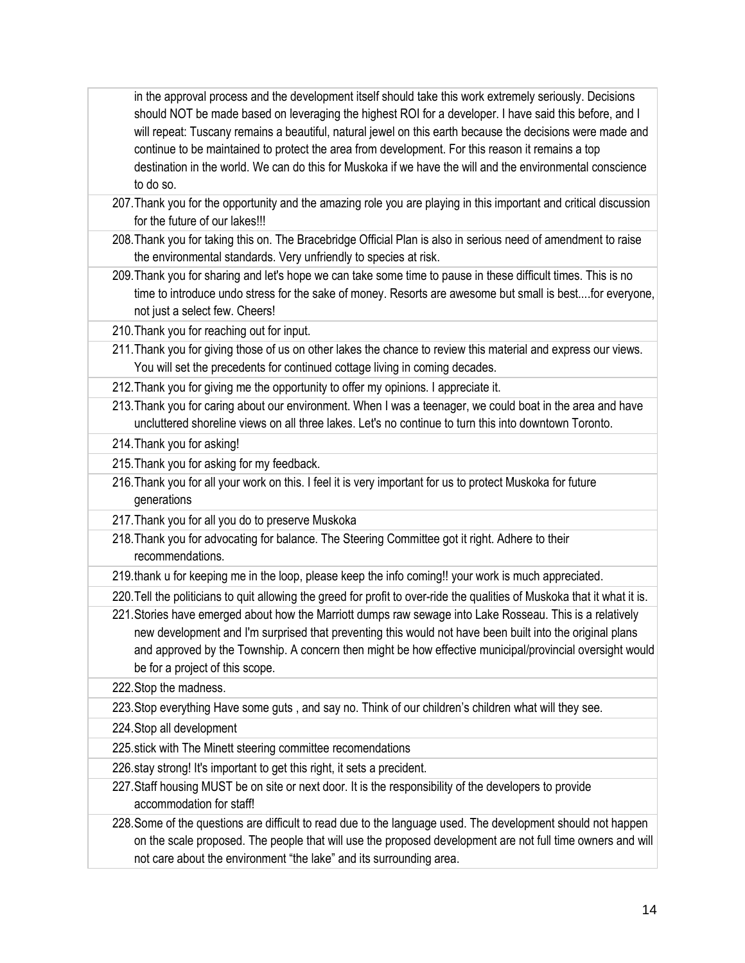in the approval process and the development itself should take this work extremely seriously. Decisions should NOT be made based on leveraging the highest ROI for a developer. I have said this before, and I will repeat: Tuscany remains a beautiful, natural jewel on this earth because the decisions were made and continue to be maintained to protect the area from development. For this reason it remains a top destination in the world. We can do this for Muskoka if we have the will and the environmental conscience to do so.

- 207.Thank you for the opportunity and the amazing role you are playing in this important and critical discussion for the future of our lakes!!!
- 208.Thank you for taking this on. The Bracebridge Official Plan is also in serious need of amendment to raise the environmental standards. Very unfriendly to species at risk.
- 209.Thank you for sharing and let's hope we can take some time to pause in these difficult times. This is no time to introduce undo stress for the sake of money. Resorts are awesome but small is best....for everyone, not just a select few. Cheers!
- 210.Thank you for reaching out for input.
- 211.Thank you for giving those of us on other lakes the chance to review this material and express our views. You will set the precedents for continued cottage living in coming decades.
- 212.Thank you for giving me the opportunity to offer my opinions. I appreciate it.
- 213.Thank you for caring about our environment. When I was a teenager, we could boat in the area and have uncluttered shoreline views on all three lakes. Let's no continue to turn this into downtown Toronto.
- 214.Thank you for asking!
- 215.Thank you for asking for my feedback.
- 216.Thank you for all your work on this. I feel it is very important for us to protect Muskoka for future generations
- 217.Thank you for all you do to preserve Muskoka
- 218.Thank you for advocating for balance. The Steering Committee got it right. Adhere to their recommendations.
- 219.thank u for keeping me in the loop, please keep the info coming!! your work is much appreciated.
- 220.Tell the politicians to quit allowing the greed for profit to over-ride the qualities of Muskoka that it what it is.

221.Stories have emerged about how the Marriott dumps raw sewage into Lake Rosseau. This is a relatively new development and I'm surprised that preventing this would not have been built into the original plans and approved by the Township. A concern then might be how effective municipal/provincial oversight would be for a project of this scope.

222.Stop the madness.

223.Stop everything Have some guts , and say no. Think of our children's children what will they see.

224.Stop all development

225.stick with The Minett steering committee recomendations

226.stay strong! It's important to get this right, it sets a precident.

227.Staff housing MUST be on site or next door. It is the responsibility of the developers to provide accommodation for staff!

228.Some of the questions are difficult to read due to the language used. The development should not happen on the scale proposed. The people that will use the proposed development are not full time owners and will not care about the environment "the lake" and its surrounding area.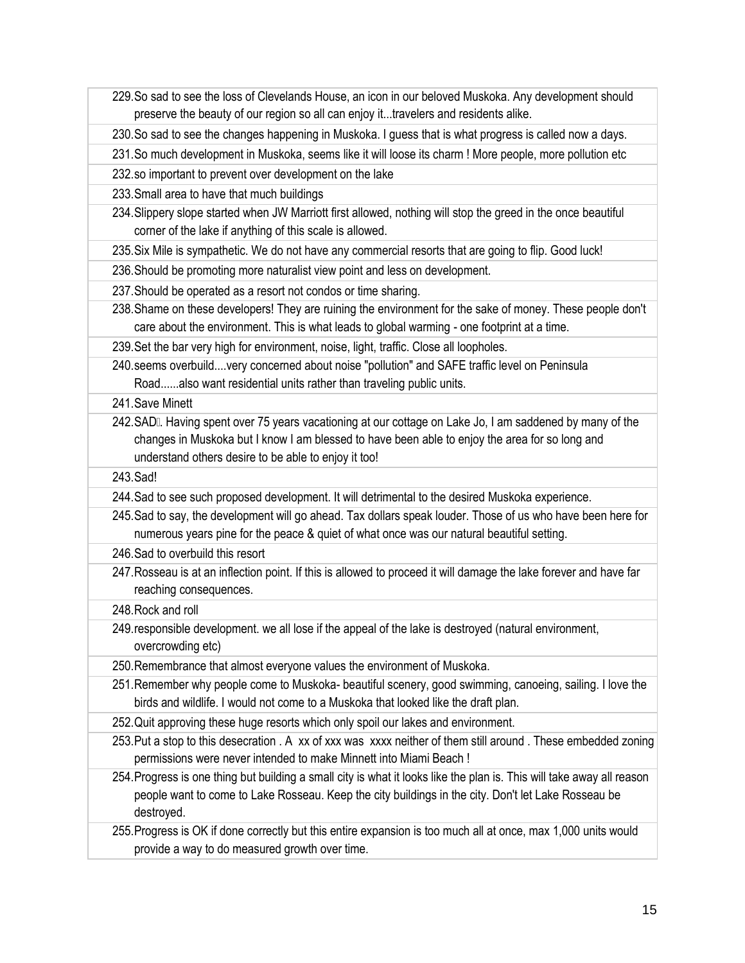- 229.So sad to see the loss of Clevelands House, an icon in our beloved Muskoka. Any development should preserve the beauty of our region so all can enjoy it...travelers and residents alike.
- 230.So sad to see the changes happening in Muskoka. I guess that is what progress is called now a days.
- 231.So much development in Muskoka, seems like it will loose its charm ! More people, more pollution etc
- 232.so important to prevent over development on the lake
- 233.Small area to have that much buildings
- 234.Slippery slope started when JW Marriott first allowed, nothing will stop the greed in the once beautiful corner of the lake if anything of this scale is allowed.
- 235.Six Mile is sympathetic. We do not have any commercial resorts that are going to flip. Good luck!
- 236.Should be promoting more naturalist view point and less on development.
- 237.Should be operated as a resort not condos or time sharing.
- 238.Shame on these developers! They are ruining the environment for the sake of money. These people don't care about the environment. This is what leads to global warming - one footprint at a time.
- 239.Set the bar very high for environment, noise, light, traffic. Close all loopholes.
- 240.seems overbuild....very concerned about noise "pollution" and SAFE traffic level on Peninsula Road......also want residential units rather than traveling public units.
- 241.Save Minett
- 242. SAD. Having spent over 75 years vacationing at our cottage on Lake Jo, I am saddened by many of the changes in Muskoka but I know I am blessed to have been able to enjoy the area for so long and understand others desire to be able to enjoy it too!
- 243.Sad!
- 244.Sad to see such proposed development. It will detrimental to the desired Muskoka experience.
- 245.Sad to say, the development will go ahead. Tax dollars speak louder. Those of us who have been here for numerous years pine for the peace & quiet of what once was our natural beautiful setting.
- 246.Sad to overbuild this resort
- 247.Rosseau is at an inflection point. If this is allowed to proceed it will damage the lake forever and have far reaching consequences.
- 248.Rock and roll
- 249.responsible development. we all lose if the appeal of the lake is destroyed (natural environment, overcrowding etc)
- 250.Remembrance that almost everyone values the environment of Muskoka.
- 251.Remember why people come to Muskoka- beautiful scenery, good swimming, canoeing, sailing. I love the birds and wildlife. I would not come to a Muskoka that looked like the draft plan.
- 252.Quit approving these huge resorts which only spoil our lakes and environment.
- 253.Put a stop to this desecration . A xx of xxx was xxxx neither of them still around . These embedded zoning permissions were never intended to make Minnett into Miami Beach !
- 254.Progress is one thing but building a small city is what it looks like the plan is. This will take away all reason people want to come to Lake Rosseau. Keep the city buildings in the city. Don't let Lake Rosseau be destroyed.
- 255.Progress is OK if done correctly but this entire expansion is too much all at once, max 1,000 units would provide a way to do measured growth over time.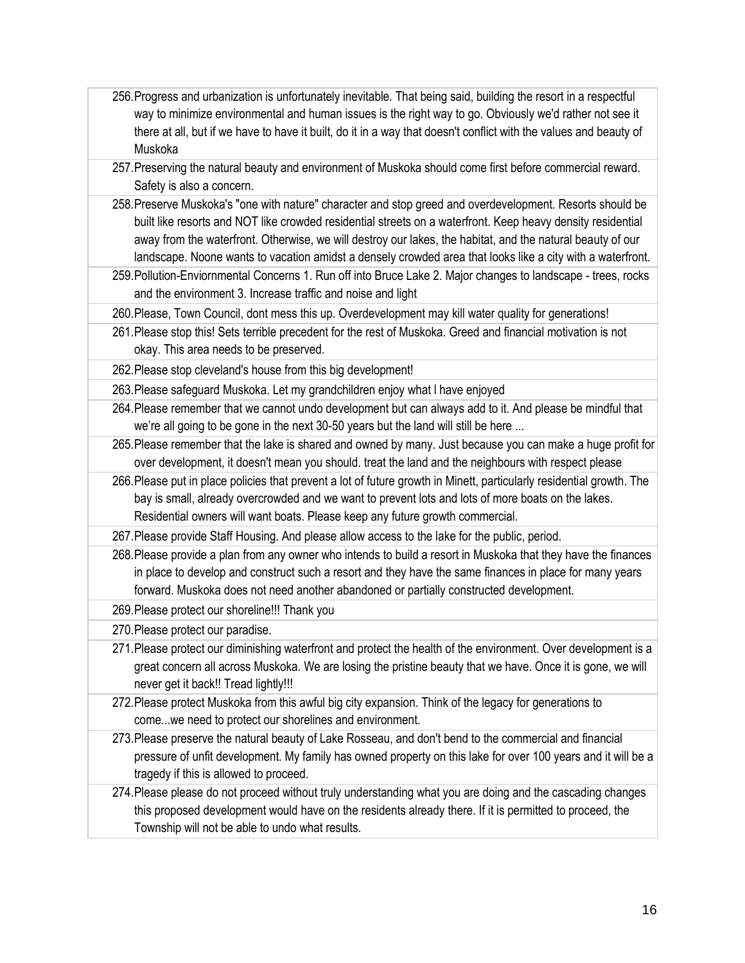- 256.Progress and urbanization is unfortunately inevitable. That being said, building the resort in a respectful way to minimize environmental and human issues is the right way to go. Obviously we'd rather not see it there at all, but if we have to have it built, do it in a way that doesn't conflict with the values and beauty of Muskoka
- 257.Preserving the natural beauty and environment of Muskoka should come first before commercial reward. Safety is also a concern.
- 258.Preserve Muskoka's "one with nature" character and stop greed and overdevelopment. Resorts should be built like resorts and NOT like crowded residential streets on a waterfront. Keep heavy density residential away from the waterfront. Otherwise, we will destroy our lakes, the habitat, and the natural beauty of our landscape. Noone wants to vacation amidst a densely crowded area that looks like a city with a waterfront.
- 259.Pollution-Enviornmental Concerns 1. Run off into Bruce Lake 2. Major changes to landscape trees, rocks and the environment 3. Increase traffic and noise and light
- 260.Please, Town Council, dont mess this up. Overdevelopment may kill water quality for generations!
- 261.Please stop this! Sets terrible precedent for the rest of Muskoka. Greed and financial motivation is not okay. This area needs to be preserved.
- 262.Please stop cleveland's house from this big development!
- 263.Please safeguard Muskoka. Let my grandchildren enjoy what l have enjoyed
- 264.Please remember that we cannot undo development but can always add to it. And please be mindful that we're all going to be gone in the next 30-50 years but the land will still be here ...
- 265.Please remember that the lake is shared and owned by many. Just because you can make a huge profit for over development, it doesn't mean you should. treat the land and the neighbours with respect please
- 266.Please put in place policies that prevent a lot of future growth in Minett, particularly residential growth. The bay is small, already overcrowded and we want to prevent lots and lots of more boats on the lakes. Residential owners will want boats. Please keep any future growth commercial.
- 267.Please provide Staff Housing. And please allow access to the lake for the public, period.
- 268.Please provide a plan from any owner who intends to build a resort in Muskoka that they have the finances in place to develop and construct such a resort and they have the same finances in place for many years forward. Muskoka does not need another abandoned or partially constructed development.
- 269.Please protect our shoreline!!! Thank you
- 270.Please protect our paradise.
- 271.Please protect our diminishing waterfront and protect the health of the environment. Over development is a great concern all across Muskoka. We are losing the pristine beauty that we have. Once it is gone, we will never get it back!! Tread lightly!!!
- 272.Please protect Muskoka from this awful big city expansion. Think of the legacy for generations to come...we need to protect our shorelines and environment.
- 273.Please preserve the natural beauty of Lake Rosseau, and don't bend to the commercial and financial pressure of unfit development. My family has owned property on this lake for over 100 years and it will be a tragedy if this is allowed to proceed.
- 274.Please please do not proceed without truly understanding what you are doing and the cascading changes this proposed development would have on the residents already there. If it is permitted to proceed, the Township will not be able to undo what results.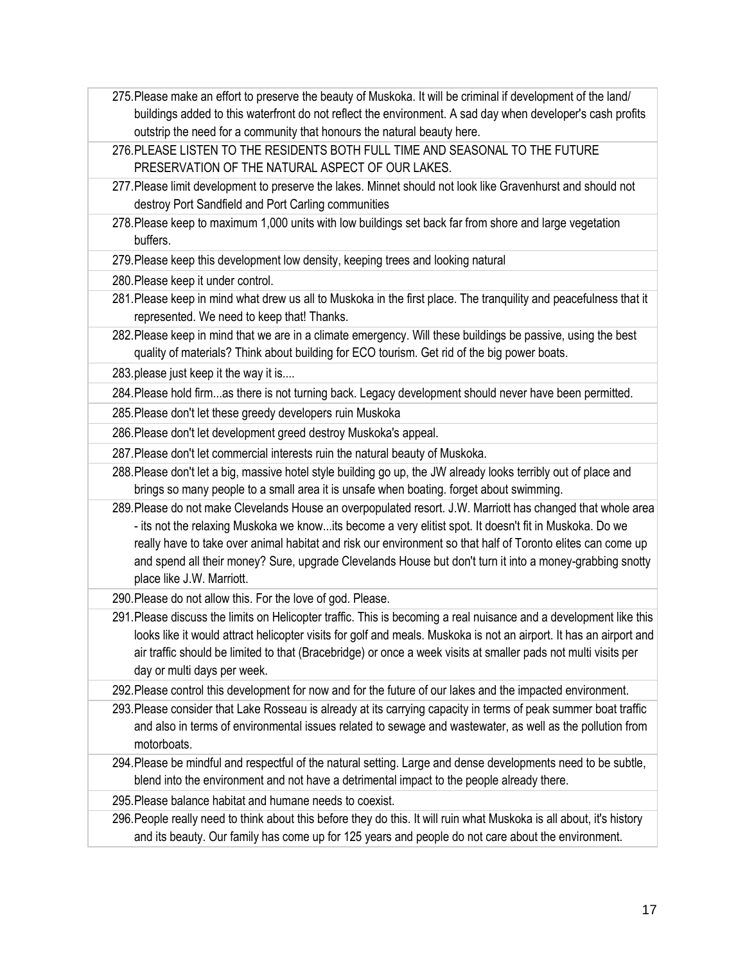- 275.Please make an effort to preserve the beauty of Muskoka. It will be criminal if development of the land/ buildings added to this waterfront do not reflect the environment. A sad day when developer's cash profits outstrip the need for a community that honours the natural beauty here.
- 276.PLEASE LISTEN TO THE RESIDENTS BOTH FULL TIME AND SEASONAL TO THE FUTURE PRESERVATION OF THE NATURAL ASPECT OF OUR LAKES.
- 277.Please limit development to preserve the lakes. Minnet should not look like Gravenhurst and should not destroy Port Sandfield and Port Carling communities
- 278.Please keep to maximum 1,000 units with low buildings set back far from shore and large vegetation buffers.
- 279.Please keep this development low density, keeping trees and looking natural
- 280.Please keep it under control.
- 281.Please keep in mind what drew us all to Muskoka in the first place. The tranquility and peacefulness that it represented. We need to keep that! Thanks.
- 282.Please keep in mind that we are in a climate emergency. Will these buildings be passive, using the best quality of materials? Think about building for ECO tourism. Get rid of the big power boats.

283.please just keep it the way it is....

284.Please hold firm...as there is not turning back. Legacy development should never have been permitted.

285.Please don't let these greedy developers ruin Muskoka

286.Please don't let development greed destroy Muskoka's appeal.

287.Please don't let commercial interests ruin the natural beauty of Muskoka.

288.Please don't let a big, massive hotel style building go up, the JW already looks terribly out of place and brings so many people to a small area it is unsafe when boating. forget about swimming.

289.Please do not make Clevelands House an overpopulated resort. J.W. Marriott has changed that whole area - its not the relaxing Muskoka we know...its become a very elitist spot. It doesn't fit in Muskoka. Do we really have to take over animal habitat and risk our environment so that half of Toronto elites can come up and spend all their money? Sure, upgrade Clevelands House but don't turn it into a money-grabbing snotty place like J.W. Marriott.

290.Please do not allow this. For the love of god. Please.

291.Please discuss the limits on Helicopter traffic. This is becoming a real nuisance and a development like this looks like it would attract helicopter visits for golf and meals. Muskoka is not an airport. It has an airport and air traffic should be limited to that (Bracebridge) or once a week visits at smaller pads not multi visits per day or multi days per week.

292.Please control this development for now and for the future of our lakes and the impacted environment.

293.Please consider that Lake Rosseau is already at its carrying capacity in terms of peak summer boat traffic and also in terms of environmental issues related to sewage and wastewater, as well as the pollution from motorboats.

294.Please be mindful and respectful of the natural setting. Large and dense developments need to be subtle, blend into the environment and not have a detrimental impact to the people already there.

295.Please balance habitat and humane needs to coexist.

296.People really need to think about this before they do this. It will ruin what Muskoka is all about, it's history and its beauty. Our family has come up for 125 years and people do not care about the environment.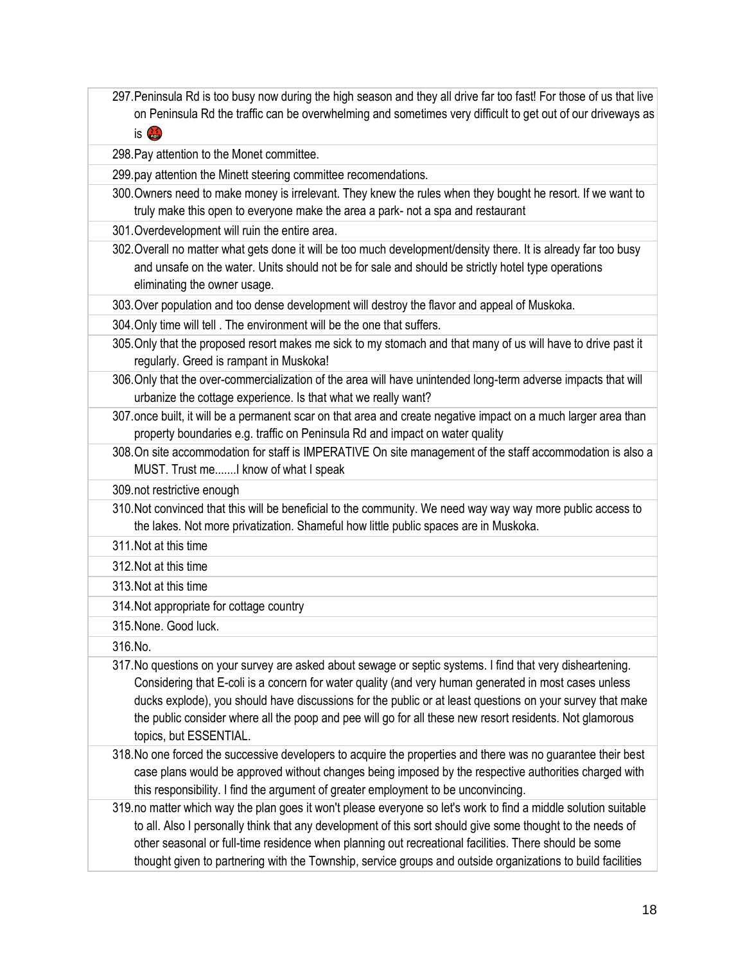297.Peninsula Rd is too busy now during the high season and they all drive far too fast! For those of us that live on Peninsula Rd the traffic can be overwhelming and sometimes very difficult to get out of our driveways as

is **is** 

298.Pay attention to the Monet committee.

299.pay attention the Minett steering committee recomendations.

- 300.Owners need to make money is irrelevant. They knew the rules when they bought he resort. If we want to truly make this open to everyone make the area a park- not a spa and restaurant
- 301.Overdevelopment will ruin the entire area.

302.Overall no matter what gets done it will be too much development/density there. It is already far too busy and unsafe on the water. Units should not be for sale and should be strictly hotel type operations eliminating the owner usage.

303.Over population and too dense development will destroy the flavor and appeal of Muskoka.

- 304.Only time will tell . The environment will be the one that suffers.
- 305.Only that the proposed resort makes me sick to my stomach and that many of us will have to drive past it regularly. Greed is rampant in Muskoka!
- 306.Only that the over-commercialization of the area will have unintended long-term adverse impacts that will urbanize the cottage experience. Is that what we really want?
- 307.once built, it will be a permanent scar on that area and create negative impact on a much larger area than property boundaries e.g. traffic on Peninsula Rd and impact on water quality
- 308.On site accommodation for staff is IMPERATIVE On site management of the staff accommodation is also a MUST. Trust me.......I know of what I speak

309.not restrictive enough

310.Not convinced that this will be beneficial to the community. We need way way way more public access to the lakes. Not more privatization. Shameful how little public spaces are in Muskoka.

311.Not at this time

- 312.Not at this time
- 313.Not at this time
- 314.Not appropriate for cottage country
- 315.None. Good luck.

316.No.

- 317.No questions on your survey are asked about sewage or septic systems. I find that very disheartening. Considering that E-coli is a concern for water quality (and very human generated in most cases unless ducks explode), you should have discussions for the public or at least questions on your survey that make the public consider where all the poop and pee will go for all these new resort residents. Not glamorous topics, but ESSENTIAL.
- 318.No one forced the successive developers to acquire the properties and there was no guarantee their best case plans would be approved without changes being imposed by the respective authorities charged with this responsibility. I find the argument of greater employment to be unconvincing.
- 319.no matter which way the plan goes it won't please everyone so let's work to find a middle solution suitable to all. Also I personally think that any development of this sort should give some thought to the needs of other seasonal or full-time residence when planning out recreational facilities. There should be some thought given to partnering with the Township, service groups and outside organizations to build facilities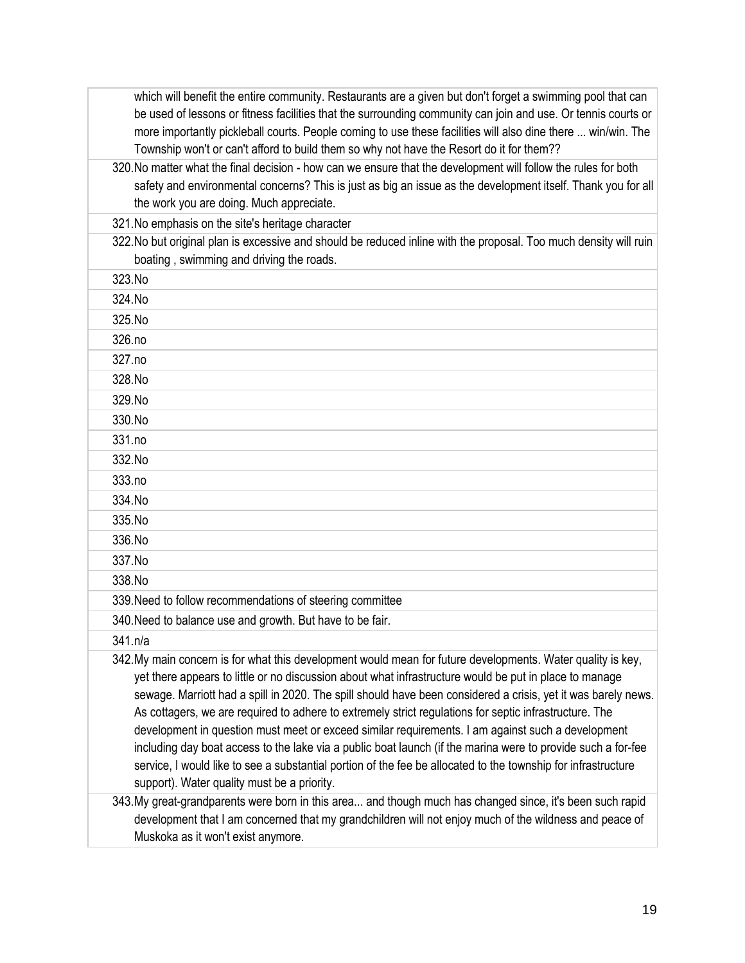| which will benefit the entire community. Restaurants are a given but don't forget a swimming pool that can                                                                                                                    |
|-------------------------------------------------------------------------------------------------------------------------------------------------------------------------------------------------------------------------------|
| be used of lessons or fitness facilities that the surrounding community can join and use. Or tennis courts or                                                                                                                 |
| more importantly pickleball courts. People coming to use these facilities will also dine there  win/win. The                                                                                                                  |
| Township won't or can't afford to build them so why not have the Resort do it for them??                                                                                                                                      |
| 320. No matter what the final decision - how can we ensure that the development will follow the rules for both                                                                                                                |
| safety and environmental concerns? This is just as big an issue as the development itself. Thank you for all                                                                                                                  |
| the work you are doing. Much appreciate.                                                                                                                                                                                      |
| 321. No emphasis on the site's heritage character                                                                                                                                                                             |
| 322. No but original plan is excessive and should be reduced inline with the proposal. Too much density will ruin                                                                                                             |
| boating, swimming and driving the roads.                                                                                                                                                                                      |
| 323.No                                                                                                                                                                                                                        |
| 324.No                                                                                                                                                                                                                        |
| 325.No                                                                                                                                                                                                                        |
| 326.no                                                                                                                                                                                                                        |
| 327.no                                                                                                                                                                                                                        |
| 328.No                                                                                                                                                                                                                        |
| 329.No                                                                                                                                                                                                                        |
| 330.No                                                                                                                                                                                                                        |
| 331.no                                                                                                                                                                                                                        |
| 332.No                                                                                                                                                                                                                        |
| 333.no                                                                                                                                                                                                                        |
| 334.No                                                                                                                                                                                                                        |
| 335.No                                                                                                                                                                                                                        |
| 336.No                                                                                                                                                                                                                        |
| 337.No                                                                                                                                                                                                                        |
| 338.No                                                                                                                                                                                                                        |
| 339. Need to follow recommendations of steering committee                                                                                                                                                                     |
| 340. Need to balance use and growth. But have to be fair.                                                                                                                                                                     |
| 341.n/a                                                                                                                                                                                                                       |
| 342. My main concern is for what this development would mean for future developments. Water quality is key,                                                                                                                   |
| yet there appears to little or no discussion about what infrastructure would be put in place to manage                                                                                                                        |
| sewage. Marriott had a spill in 2020. The spill should have been considered a crisis, yet it was barely news.                                                                                                                 |
| As cottagers, we are required to adhere to extremely strict regulations for septic infrastructure. The                                                                                                                        |
| development in question must meet or exceed similar requirements. I am against such a development                                                                                                                             |
| including day boat access to the lake via a public boat launch (if the marina were to provide such a for-fee<br>service, I would like to see a substantial portion of the fee be allocated to the township for infrastructure |
| support). Water quality must be a priority.                                                                                                                                                                                   |
| 343. My great-grandparents were born in this area and though much has changed since, it's been such rapid                                                                                                                     |
| development that I am concerned that my grandchildren will not enjoy much of the wildness and peace of                                                                                                                        |
| Muskoka as it won't exist anymore.                                                                                                                                                                                            |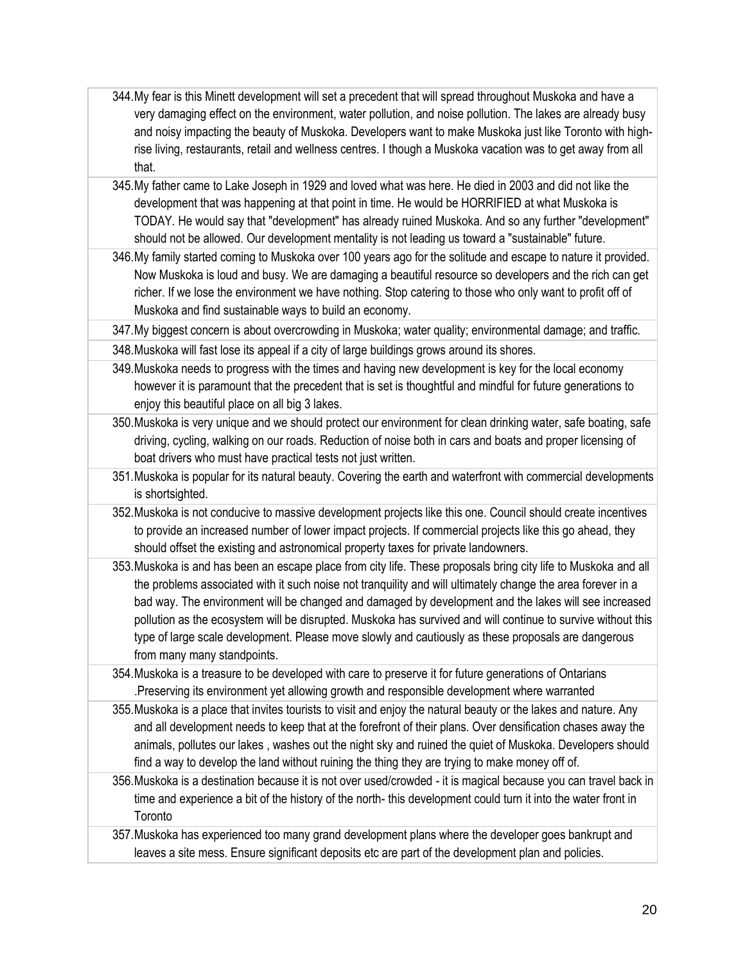- 344.My fear is this Minett development will set a precedent that will spread throughout Muskoka and have a very damaging effect on the environment, water pollution, and noise pollution. The lakes are already busy and noisy impacting the beauty of Muskoka. Developers want to make Muskoka just like Toronto with highrise living, restaurants, retail and wellness centres. I though a Muskoka vacation was to get away from all that.
- 345.My father came to Lake Joseph in 1929 and loved what was here. He died in 2003 and did not like the development that was happening at that point in time. He would be HORRIFIED at what Muskoka is TODAY. He would say that "development" has already ruined Muskoka. And so any further "development" should not be allowed. Our development mentality is not leading us toward a "sustainable" future.
- 346.My family started coming to Muskoka over 100 years ago for the solitude and escape to nature it provided. Now Muskoka is loud and busy. We are damaging a beautiful resource so developers and the rich can get richer. If we lose the environment we have nothing. Stop catering to those who only want to profit off of Muskoka and find sustainable ways to build an economy.

347.My biggest concern is about overcrowding in Muskoka; water quality; environmental damage; and traffic.

348.Muskoka will fast lose its appeal if a city of large buildings grows around its shores.

- 349.Muskoka needs to progress with the times and having new development is key for the local economy however it is paramount that the precedent that is set is thoughtful and mindful for future generations to enjoy this beautiful place on all big 3 lakes.
- 350.Muskoka is very unique and we should protect our environment for clean drinking water, safe boating, safe driving, cycling, walking on our roads. Reduction of noise both in cars and boats and proper licensing of boat drivers who must have practical tests not just written.
- 351.Muskoka is popular for its natural beauty. Covering the earth and waterfront with commercial developments is shortsighted.
- 352.Muskoka is not conducive to massive development projects like this one. Council should create incentives to provide an increased number of lower impact projects. If commercial projects like this go ahead, they should offset the existing and astronomical property taxes for private landowners.
- 353.Muskoka is and has been an escape place from city life. These proposals bring city life to Muskoka and all the problems associated with it such noise not tranquility and will ultimately change the area forever in a bad way. The environment will be changed and damaged by development and the lakes will see increased pollution as the ecosystem will be disrupted. Muskoka has survived and will continue to survive without this type of large scale development. Please move slowly and cautiously as these proposals are dangerous from many many standpoints.
- 354.Muskoka is a treasure to be developed with care to preserve it for future generations of Ontarians .Preserving its environment yet allowing growth and responsible development where warranted
- 355.Muskoka is a place that invites tourists to visit and enjoy the natural beauty or the lakes and nature. Any and all development needs to keep that at the forefront of their plans. Over densification chases away the animals, pollutes our lakes , washes out the night sky and ruined the quiet of Muskoka. Developers should find a way to develop the land without ruining the thing they are trying to make money off of.
- 356.Muskoka is a destination because it is not over used/crowded it is magical because you can travel back in time and experience a bit of the history of the north- this development could turn it into the water front in **Toronto**

357.Muskoka has experienced too many grand development plans where the developer goes bankrupt and leaves a site mess. Ensure significant deposits etc are part of the development plan and policies.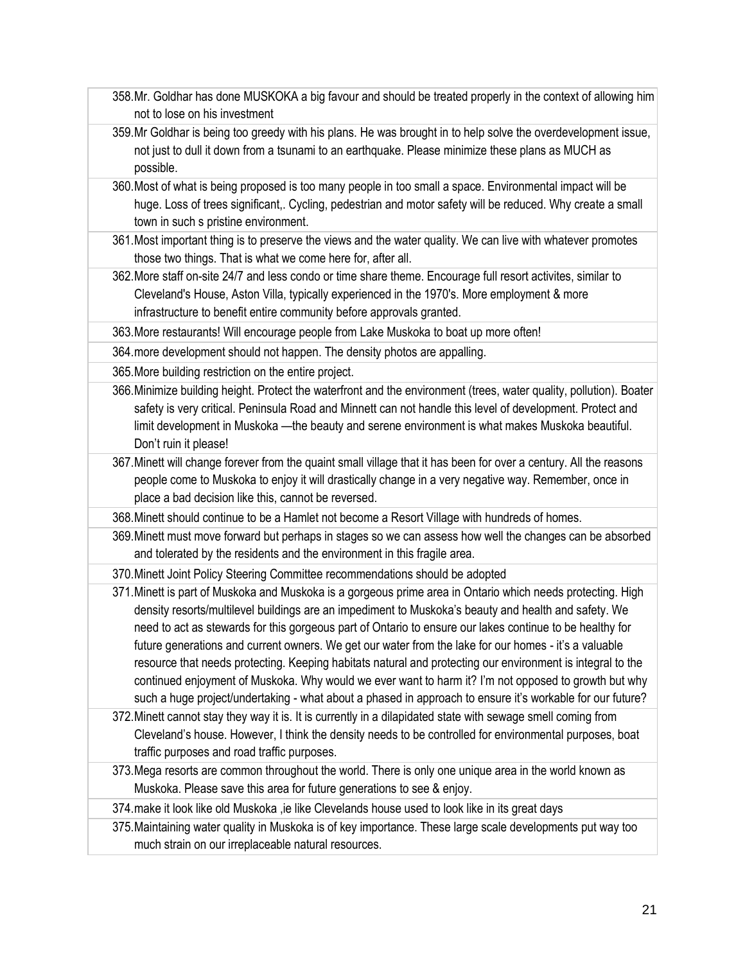- 358.Mr. Goldhar has done MUSKOKA a big favour and should be treated properly in the context of allowing him not to lose on his investment
- 359.Mr Goldhar is being too greedy with his plans. He was brought in to help solve the overdevelopment issue, not just to dull it down from a tsunami to an earthquake. Please minimize these plans as MUCH as possible.
- 360.Most of what is being proposed is too many people in too small a space. Environmental impact will be huge. Loss of trees significant,. Cycling, pedestrian and motor safety will be reduced. Why create a small town in such s pristine environment.
- 361.Most important thing is to preserve the views and the water quality. We can live with whatever promotes those two things. That is what we come here for, after all.
- 362.More staff on-site 24/7 and less condo or time share theme. Encourage full resort activites, similar to Cleveland's House, Aston Villa, typically experienced in the 1970's. More employment & more infrastructure to benefit entire community before approvals granted.

363.More restaurants! Will encourage people from Lake Muskoka to boat up more often!

364.more development should not happen. The density photos are appalling.

365.More building restriction on the entire project.

- 366.Minimize building height. Protect the waterfront and the environment (trees, water quality, pollution). Boater safety is very critical. Peninsula Road and Minnett can not handle this level of development. Protect and limit development in Muskoka —the beauty and serene environment is what makes Muskoka beautiful. Don't ruin it please!
- 367.Minett will change forever from the quaint small village that it has been for over a century. All the reasons people come to Muskoka to enjoy it will drastically change in a very negative way. Remember, once in place a bad decision like this, cannot be reversed.
- 368.Minett should continue to be a Hamlet not become a Resort Village with hundreds of homes.
- 369.Minett must move forward but perhaps in stages so we can assess how well the changes can be absorbed and tolerated by the residents and the environment in this fragile area.

370.Minett Joint Policy Steering Committee recommendations should be adopted

- 371.Minett is part of Muskoka and Muskoka is a gorgeous prime area in Ontario which needs protecting. High density resorts/multilevel buildings are an impediment to Muskoka's beauty and health and safety. We need to act as stewards for this gorgeous part of Ontario to ensure our lakes continue to be healthy for future generations and current owners. We get our water from the lake for our homes - it's a valuable resource that needs protecting. Keeping habitats natural and protecting our environment is integral to the continued enjoyment of Muskoka. Why would we ever want to harm it? I'm not opposed to growth but why such a huge project/undertaking - what about a phased in approach to ensure it's workable for our future?
- 372.Minett cannot stay they way it is. It is currently in a dilapidated state with sewage smell coming from Cleveland's house. However, I think the density needs to be controlled for environmental purposes, boat traffic purposes and road traffic purposes.
- 373.Mega resorts are common throughout the world. There is only one unique area in the world known as Muskoka. Please save this area for future generations to see & enjoy.

374.make it look like old Muskoka ,ie like Clevelands house used to look like in its great days

375.Maintaining water quality in Muskoka is of key importance. These large scale developments put way too much strain on our irreplaceable natural resources.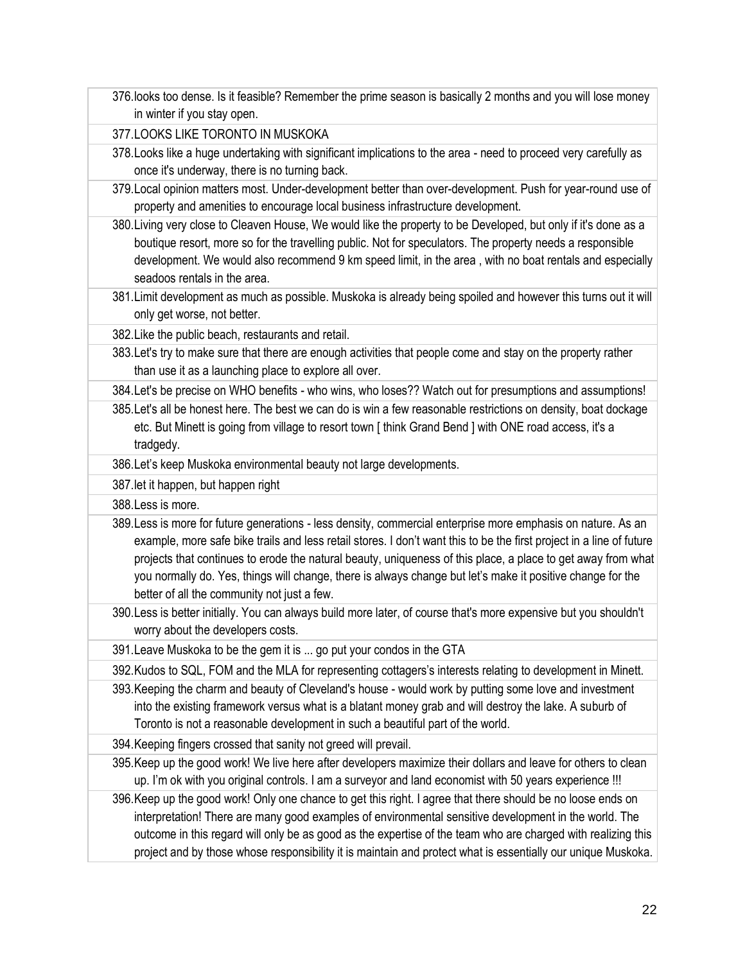376.looks too dense. Is it feasible? Remember the prime season is basically 2 months and you will lose money in winter if you stay open.

377.LOOKS LIKE TORONTO IN MUSKOKA

- 378.Looks like a huge undertaking with significant implications to the area need to proceed very carefully as once it's underway, there is no turning back.
- 379.Local opinion matters most. Under-development better than over-development. Push for year-round use of property and amenities to encourage local business infrastructure development.
- 380.Living very close to Cleaven House, We would like the property to be Developed, but only if it's done as a boutique resort, more so for the travelling public. Not for speculators. The property needs a responsible development. We would also recommend 9 km speed limit, in the area , with no boat rentals and especially seadoos rentals in the area.
- 381.Limit development as much as possible. Muskoka is already being spoiled and however this turns out it will only get worse, not better.

382.Like the public beach, restaurants and retail.

- 383.Let's try to make sure that there are enough activities that people come and stay on the property rather than use it as a launching place to explore all over.
- 384.Let's be precise on WHO benefits who wins, who loses?? Watch out for presumptions and assumptions!
- 385.Let's all be honest here. The best we can do is win a few reasonable restrictions on density, boat dockage etc. But Minett is going from village to resort town [ think Grand Bend ] with ONE road access, it's a tradgedy.
- 386.Let's keep Muskoka environmental beauty not large developments.

387.let it happen, but happen right

388.Less is more.

- 389.Less is more for future generations less density, commercial enterprise more emphasis on nature. As an example, more safe bike trails and less retail stores. I don't want this to be the first project in a line of future projects that continues to erode the natural beauty, uniqueness of this place, a place to get away from what you normally do. Yes, things will change, there is always change but let's make it positive change for the better of all the community not just a few.
- 390.Less is better initially. You can always build more later, of course that's more expensive but you shouldn't worry about the developers costs.

391.Leave Muskoka to be the gem it is ... go put your condos in the GTA

392.Kudos to SQL, FOM and the MLA for representing cottagers's interests relating to development in Minett.

393.Keeping the charm and beauty of Cleveland's house - would work by putting some love and investment into the existing framework versus what is a blatant money grab and will destroy the lake. A suburb of Toronto is not a reasonable development in such a beautiful part of the world.

394.Keeping fingers crossed that sanity not greed will prevail.

- 395.Keep up the good work! We live here after developers maximize their dollars and leave for others to clean up. I'm ok with you original controls. I am a surveyor and land economist with 50 years experience !!!
- 396.Keep up the good work! Only one chance to get this right. I agree that there should be no loose ends on interpretation! There are many good examples of environmental sensitive development in the world. The outcome in this regard will only be as good as the expertise of the team who are charged with realizing this project and by those whose responsibility it is maintain and protect what is essentially our unique Muskoka.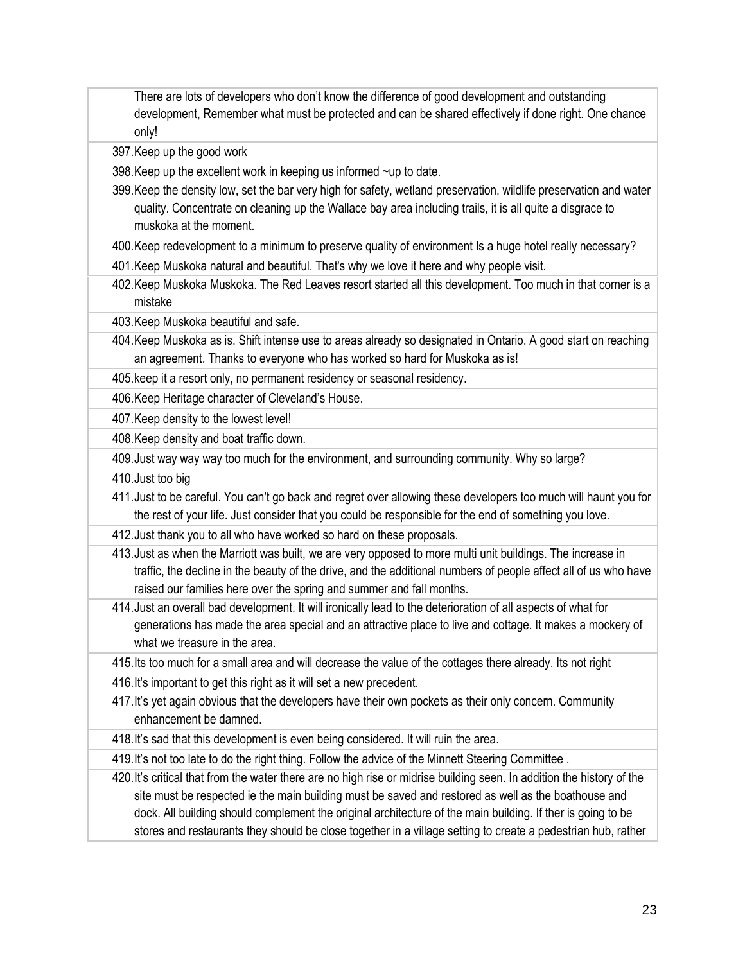There are lots of developers who don't know the difference of good development and outstanding development, Remember what must be protected and can be shared effectively if done right. One chance only!

397.Keep up the good work

398.Keep up the excellent work in keeping us informed ~up to date.

399.Keep the density low, set the bar very high for safety, wetland preservation, wildlife preservation and water quality. Concentrate on cleaning up the Wallace bay area including trails, it is all quite a disgrace to muskoka at the moment.

400.Keep redevelopment to a minimum to preserve quality of environment Is a huge hotel really necessary?

401.Keep Muskoka natural and beautiful. That's why we love it here and why people visit.

402.Keep Muskoka Muskoka. The Red Leaves resort started all this development. Too much in that corner is a mistake

403.Keep Muskoka beautiful and safe.

404.Keep Muskoka as is. Shift intense use to areas already so designated in Ontario. A good start on reaching an agreement. Thanks to everyone who has worked so hard for Muskoka as is!

405.keep it a resort only, no permanent residency or seasonal residency.

406.Keep Heritage character of Cleveland's House.

407.Keep density to the lowest level!

408.Keep density and boat traffic down.

409.Just way way way too much for the environment, and surrounding community. Why so large?

410.Just too big

411.Just to be careful. You can't go back and regret over allowing these developers too much will haunt you for the rest of your life. Just consider that you could be responsible for the end of something you love.

412.Just thank you to all who have worked so hard on these proposals.

413.Just as when the Marriott was built, we are very opposed to more multi unit buildings. The increase in traffic, the decline in the beauty of the drive, and the additional numbers of people affect all of us who have raised our families here over the spring and summer and fall months.

414.Just an overall bad development. It will ironically lead to the deterioration of all aspects of what for generations has made the area special and an attractive place to live and cottage. It makes a mockery of what we treasure in the area.

415.Its too much for a small area and will decrease the value of the cottages there already. Its not right

416.It's important to get this right as it will set a new precedent.

417.It's yet again obvious that the developers have their own pockets as their only concern. Community enhancement be damned.

418.It's sad that this development is even being considered. It will ruin the area.

419.It's not too late to do the right thing. Follow the advice of the Minnett Steering Committee .

420.It's critical that from the water there are no high rise or midrise building seen. In addition the history of the site must be respected ie the main building must be saved and restored as well as the boathouse and dock. All building should complement the original architecture of the main building. If ther is going to be stores and restaurants they should be close together in a village setting to create a pedestrian hub, rather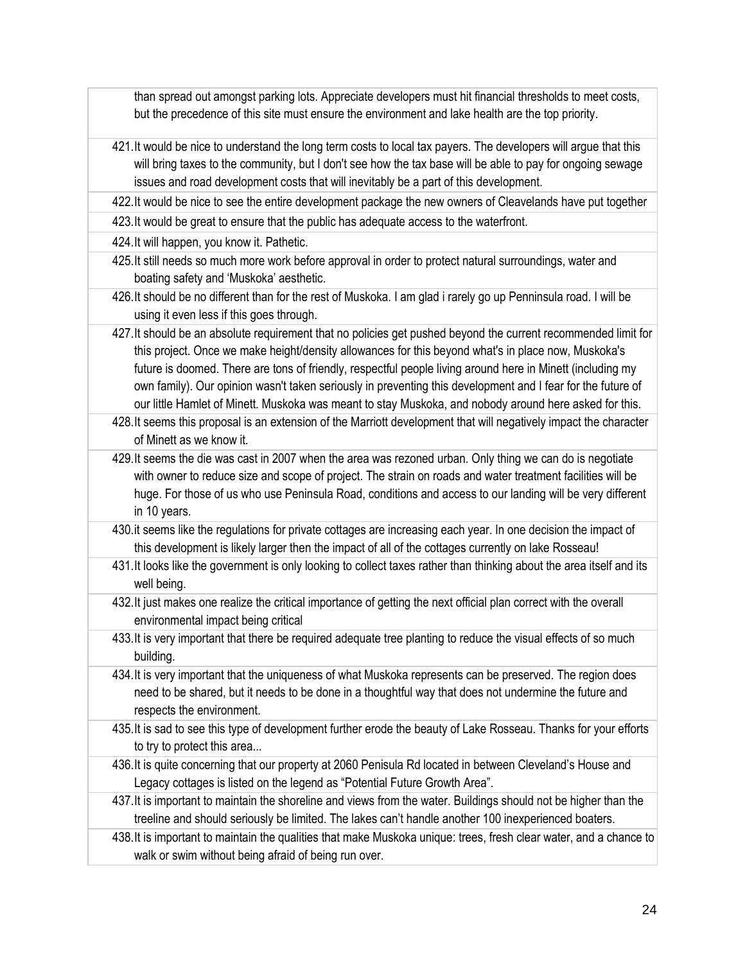than spread out amongst parking lots. Appreciate developers must hit financial thresholds to meet costs, but the precedence of this site must ensure the environment and lake health are the top priority.

- 421.It would be nice to understand the long term costs to local tax payers. The developers will argue that this will bring taxes to the community, but I don't see how the tax base will be able to pay for ongoing sewage issues and road development costs that will inevitably be a part of this development.
- 422.It would be nice to see the entire development package the new owners of Cleavelands have put together
- 423.It would be great to ensure that the public has adequate access to the waterfront.
- 424.It will happen, you know it. Pathetic.
- 425.It still needs so much more work before approval in order to protect natural surroundings, water and boating safety and 'Muskoka' aesthetic.
- 426.It should be no different than for the rest of Muskoka. I am glad i rarely go up Penninsula road. I will be using it even less if this goes through.
- 427.It should be an absolute requirement that no policies get pushed beyond the current recommended limit for this project. Once we make height/density allowances for this beyond what's in place now, Muskoka's future is doomed. There are tons of friendly, respectful people living around here in Minett (including my own family). Our opinion wasn't taken seriously in preventing this development and I fear for the future of our little Hamlet of Minett. Muskoka was meant to stay Muskoka, and nobody around here asked for this.
- 428.It seems this proposal is an extension of the Marriott development that will negatively impact the character of Minett as we know it.
- 429.It seems the die was cast in 2007 when the area was rezoned urban. Only thing we can do is negotiate with owner to reduce size and scope of project. The strain on roads and water treatment facilities will be huge. For those of us who use Peninsula Road, conditions and access to our landing will be very different in 10 years.
- 430.it seems like the regulations for private cottages are increasing each year. In one decision the impact of this development is likely larger then the impact of all of the cottages currently on lake Rosseau!
- 431.It looks like the government is only looking to collect taxes rather than thinking about the area itself and its well being.
- 432.It just makes one realize the critical importance of getting the next official plan correct with the overall environmental impact being critical
- 433.It is very important that there be required adequate tree planting to reduce the visual effects of so much building.
- 434.It is very important that the uniqueness of what Muskoka represents can be preserved. The region does need to be shared, but it needs to be done in a thoughtful way that does not undermine the future and respects the environment.
- 435.It is sad to see this type of development further erode the beauty of Lake Rosseau. Thanks for your efforts to try to protect this area...
- 436.It is quite concerning that our property at 2060 Penisula Rd located in between Cleveland's House and Legacy cottages is listed on the legend as "Potential Future Growth Area".
- 437.It is important to maintain the shoreline and views from the water. Buildings should not be higher than the treeline and should seriously be limited. The lakes can't handle another 100 inexperienced boaters.
- 438.It is important to maintain the qualities that make Muskoka unique: trees, fresh clear water, and a chance to walk or swim without being afraid of being run over.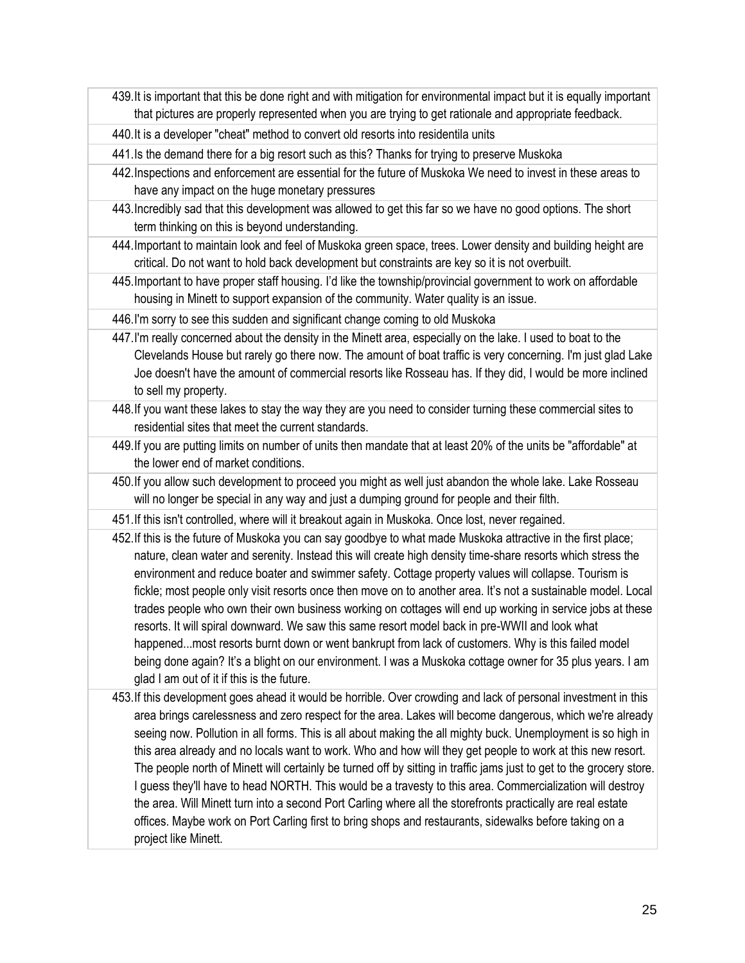439.It is important that this be done right and with mitigation for environmental impact but it is equally important that pictures are properly represented when you are trying to get rationale and appropriate feedback.

440.It is a developer "cheat" method to convert old resorts into residentila units

441.Is the demand there for a big resort such as this? Thanks for trying to preserve Muskoka

- 442.Inspections and enforcement are essential for the future of Muskoka We need to invest in these areas to have any impact on the huge monetary pressures
- 443.Incredibly sad that this development was allowed to get this far so we have no good options. The short term thinking on this is beyond understanding.
- 444.Important to maintain look and feel of Muskoka green space, trees. Lower density and building height are critical. Do not want to hold back development but constraints are key so it is not overbuilt.
- 445.Important to have proper staff housing. I'd like the township/provincial government to work on affordable housing in Minett to support expansion of the community. Water quality is an issue.

446.I'm sorry to see this sudden and significant change coming to old Muskoka

- 447.I'm really concerned about the density in the Minett area, especially on the lake. I used to boat to the Clevelands House but rarely go there now. The amount of boat traffic is very concerning. I'm just glad Lake Joe doesn't have the amount of commercial resorts like Rosseau has. If they did, I would be more inclined to sell my property.
- 448.If you want these lakes to stay the way they are you need to consider turning these commercial sites to residential sites that meet the current standards.
- 449.If you are putting limits on number of units then mandate that at least 20% of the units be "affordable" at the lower end of market conditions.
- 450.If you allow such development to proceed you might as well just abandon the whole lake. Lake Rosseau will no longer be special in any way and just a dumping ground for people and their filth.
- 451.If this isn't controlled, where will it breakout again in Muskoka. Once lost, never regained.
- 452.If this is the future of Muskoka you can say goodbye to what made Muskoka attractive in the first place; nature, clean water and serenity. Instead this will create high density time-share resorts which stress the environment and reduce boater and swimmer safety. Cottage property values will collapse. Tourism is fickle; most people only visit resorts once then move on to another area. It's not a sustainable model. Local trades people who own their own business working on cottages will end up working in service jobs at these resorts. It will spiral downward. We saw this same resort model back in pre-WWII and look what happened...most resorts burnt down or went bankrupt from lack of customers. Why is this failed model being done again? It's a blight on our environment. I was a Muskoka cottage owner for 35 plus years. I am glad I am out of it if this is the future.
- 453.If this development goes ahead it would be horrible. Over crowding and lack of personal investment in this area brings carelessness and zero respect for the area. Lakes will become dangerous, which we're already seeing now. Pollution in all forms. This is all about making the all mighty buck. Unemployment is so high in this area already and no locals want to work. Who and how will they get people to work at this new resort. The people north of Minett will certainly be turned off by sitting in traffic jams just to get to the grocery store. I guess they'll have to head NORTH. This would be a travesty to this area. Commercialization will destroy the area. Will Minett turn into a second Port Carling where all the storefronts practically are real estate offices. Maybe work on Port Carling first to bring shops and restaurants, sidewalks before taking on a project like Minett.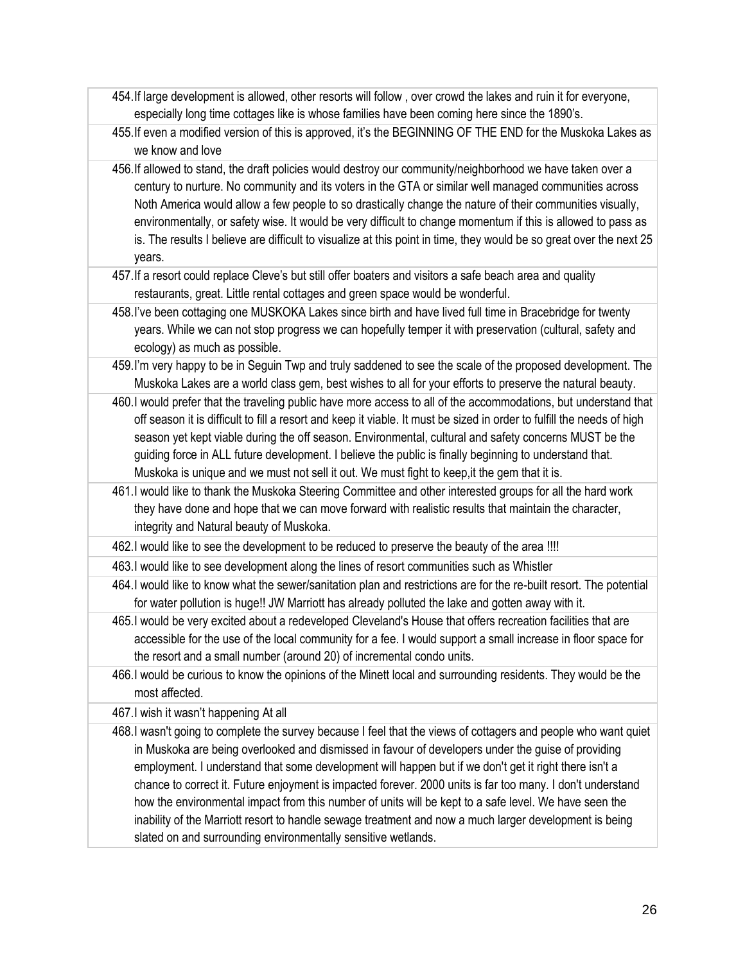- 454.If large development is allowed, other resorts will follow , over crowd the lakes and ruin it for everyone, especially long time cottages like is whose families have been coming here since the 1890's.
- 455.If even a modified version of this is approved, it's the BEGINNING OF THE END for the Muskoka Lakes as we know and love
- 456.If allowed to stand, the draft policies would destroy our community/neighborhood we have taken over a century to nurture. No community and its voters in the GTA or similar well managed communities across Noth America would allow a few people to so drastically change the nature of their communities visually, environmentally, or safety wise. It would be very difficult to change momentum if this is allowed to pass as is. The results I believe are difficult to visualize at this point in time, they would be so great over the next 25 years.
- 457.If a resort could replace Cleve's but still offer boaters and visitors a safe beach area and quality restaurants, great. Little rental cottages and green space would be wonderful.
- 458.I've been cottaging one MUSKOKA Lakes since birth and have lived full time in Bracebridge for twenty years. While we can not stop progress we can hopefully temper it with preservation (cultural, safety and ecology) as much as possible.
- 459.I'm very happy to be in Seguin Twp and truly saddened to see the scale of the proposed development. The Muskoka Lakes are a world class gem, best wishes to all for your efforts to preserve the natural beauty.
- 460.I would prefer that the traveling public have more access to all of the accommodations, but understand that off season it is difficult to fill a resort and keep it viable. It must be sized in order to fulfill the needs of high season yet kept viable during the off season. Environmental, cultural and safety concerns MUST be the guiding force in ALL future development. I believe the public is finally beginning to understand that. Muskoka is unique and we must not sell it out. We must fight to keep,it the gem that it is.
- 461.I would like to thank the Muskoka Steering Committee and other interested groups for all the hard work they have done and hope that we can move forward with realistic results that maintain the character, integrity and Natural beauty of Muskoka.
- 462.I would like to see the development to be reduced to preserve the beauty of the area !!!!
- 463.I would like to see development along the lines of resort communities such as Whistler
- 464.I would like to know what the sewer/sanitation plan and restrictions are for the re-built resort. The potential for water pollution is huge!! JW Marriott has already polluted the lake and gotten away with it.
- 465.I would be very excited about a redeveloped Cleveland's House that offers recreation facilities that are accessible for the use of the local community for a fee. I would support a small increase in floor space for the resort and a small number (around 20) of incremental condo units.
- 466.I would be curious to know the opinions of the Minett local and surrounding residents. They would be the most affected.

467.I wish it wasn't happening At all

468.I wasn't going to complete the survey because I feel that the views of cottagers and people who want quiet in Muskoka are being overlooked and dismissed in favour of developers under the guise of providing employment. I understand that some development will happen but if we don't get it right there isn't a chance to correct it. Future enjoyment is impacted forever. 2000 units is far too many. I don't understand how the environmental impact from this number of units will be kept to a safe level. We have seen the inability of the Marriott resort to handle sewage treatment and now a much larger development is being slated on and surrounding environmentally sensitive wetlands.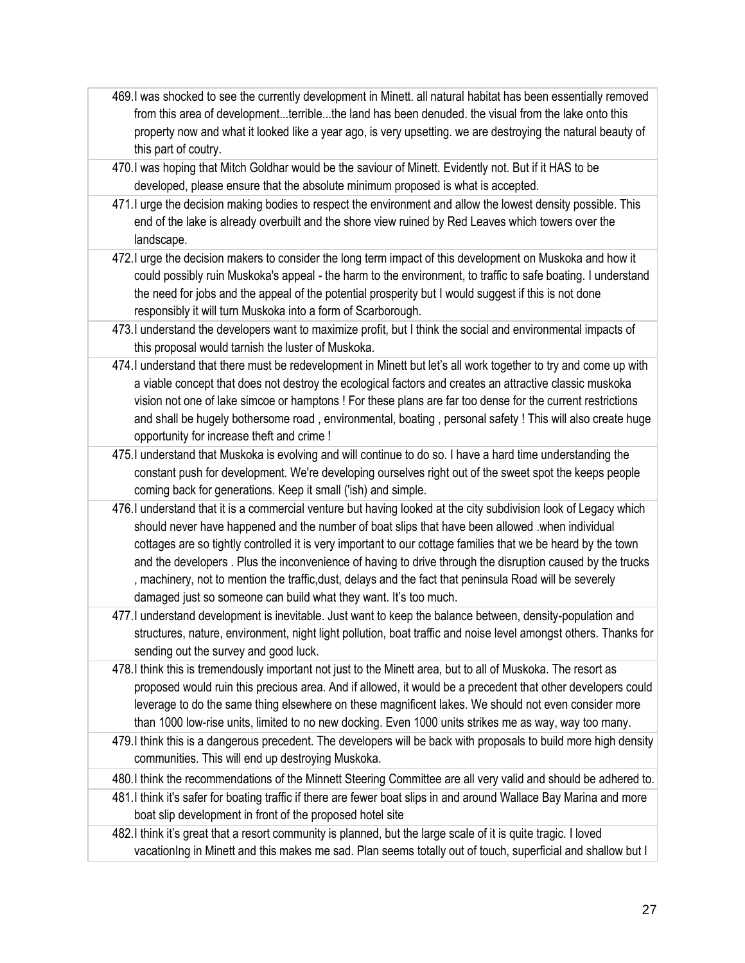- 469.I was shocked to see the currently development in Minett. all natural habitat has been essentially removed from this area of development...terrible...the land has been denuded. the visual from the lake onto this property now and what it looked like a year ago, is very upsetting. we are destroying the natural beauty of this part of coutry.
- 470.I was hoping that Mitch Goldhar would be the saviour of Minett. Evidently not. But if it HAS to be developed, please ensure that the absolute minimum proposed is what is accepted.
- 471.I urge the decision making bodies to respect the environment and allow the lowest density possible. This end of the lake is already overbuilt and the shore view ruined by Red Leaves which towers over the landscape.
- 472.I urge the decision makers to consider the long term impact of this development on Muskoka and how it could possibly ruin Muskoka's appeal - the harm to the environment, to traffic to safe boating. I understand the need for jobs and the appeal of the potential prosperity but I would suggest if this is not done responsibly it will turn Muskoka into a form of Scarborough.
- 473.I understand the developers want to maximize profit, but I think the social and environmental impacts of this proposal would tarnish the luster of Muskoka.
- 474.I understand that there must be redevelopment in Minett but let's all work together to try and come up with a viable concept that does not destroy the ecological factors and creates an attractive classic muskoka vision not one of lake simcoe or hamptons ! For these plans are far too dense for the current restrictions and shall be hugely bothersome road , environmental, boating , personal safety ! This will also create huge opportunity for increase theft and crime !
- 475.I understand that Muskoka is evolving and will continue to do so. I have a hard time understanding the constant push for development. We're developing ourselves right out of the sweet spot the keeps people coming back for generations. Keep it small ('ish) and simple.
- 476.I understand that it is a commercial venture but having looked at the city subdivision look of Legacy which should never have happened and the number of boat slips that have been allowed .when individual cottages are so tightly controlled it is very important to our cottage families that we be heard by the town and the developers . Plus the inconvenience of having to drive through the disruption caused by the trucks , machinery, not to mention the traffic,dust, delays and the fact that peninsula Road will be severely damaged just so someone can build what they want. It's too much.
- 477.I understand development is inevitable. Just want to keep the balance between, density-population and structures, nature, environment, night light pollution, boat traffic and noise level amongst others. Thanks for sending out the survey and good luck.
- 478.I think this is tremendously important not just to the Minett area, but to all of Muskoka. The resort as proposed would ruin this precious area. And if allowed, it would be a precedent that other developers could leverage to do the same thing elsewhere on these magnificent lakes. We should not even consider more than 1000 low-rise units, limited to no new docking. Even 1000 units strikes me as way, way too many.
- 479.I think this is a dangerous precedent. The developers will be back with proposals to build more high density communities. This will end up destroying Muskoka.
- 480.I think the recommendations of the Minnett Steering Committee are all very valid and should be adhered to.
- 481.I think it's safer for boating traffic if there are fewer boat slips in and around Wallace Bay Marina and more boat slip development in front of the proposed hotel site
- 482.I think it's great that a resort community is planned, but the large scale of it is quite tragic. I loved vacationIng in Minett and this makes me sad. Plan seems totally out of touch, superficial and shallow but I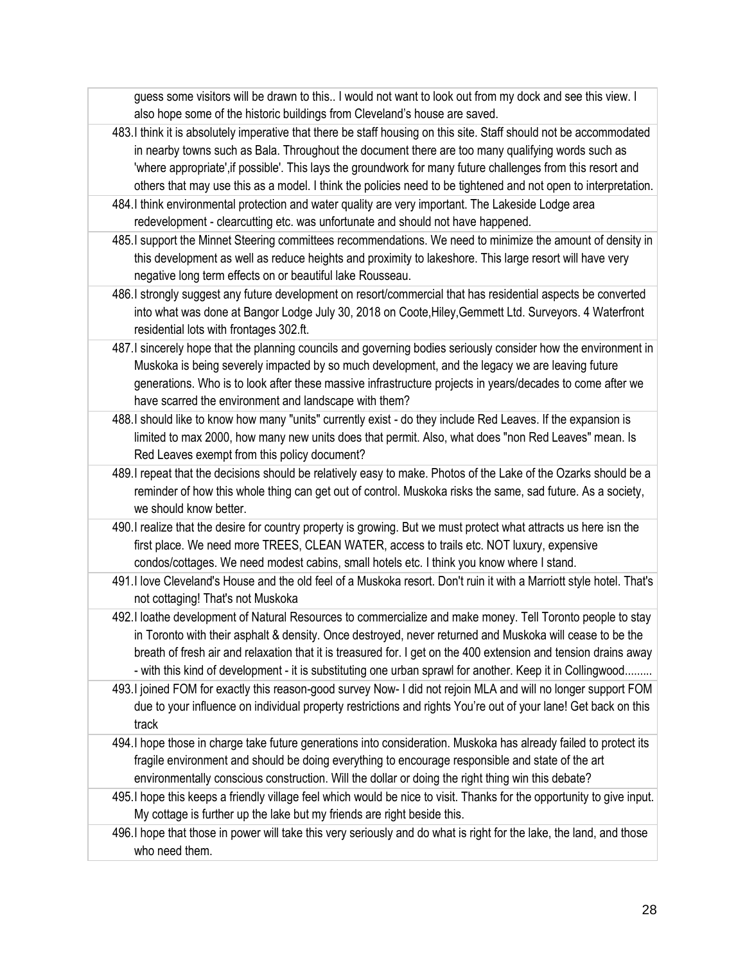guess some visitors will be drawn to this.. I would not want to look out from my dock and see this view. I also hope some of the historic buildings from Cleveland's house are saved.

- 483.I think it is absolutely imperative that there be staff housing on this site. Staff should not be accommodated in nearby towns such as Bala. Throughout the document there are too many qualifying words such as 'where appropriate',if possible'. This lays the groundwork for many future challenges from this resort and others that may use this as a model. I think the policies need to be tightened and not open to interpretation.
- 484.I think environmental protection and water quality are very important. The Lakeside Lodge area redevelopment - clearcutting etc. was unfortunate and should not have happened.
- 485.I support the Minnet Steering committees recommendations. We need to minimize the amount of density in this development as well as reduce heights and proximity to lakeshore. This large resort will have very negative long term effects on or beautiful lake Rousseau.
- 486.I strongly suggest any future development on resort/commercial that has residential aspects be converted into what was done at Bangor Lodge July 30, 2018 on Coote,Hiley,Gemmett Ltd. Surveyors. 4 Waterfront residential lots with frontages 302.ft.
- 487.I sincerely hope that the planning councils and governing bodies seriously consider how the environment in Muskoka is being severely impacted by so much development, and the legacy we are leaving future generations. Who is to look after these massive infrastructure projects in years/decades to come after we have scarred the environment and landscape with them?
- 488.I should like to know how many "units" currently exist do they include Red Leaves. If the expansion is limited to max 2000, how many new units does that permit. Also, what does "non Red Leaves" mean. Is Red Leaves exempt from this policy document?
- 489.I repeat that the decisions should be relatively easy to make. Photos of the Lake of the Ozarks should be a reminder of how this whole thing can get out of control. Muskoka risks the same, sad future. As a society, we should know better.
- 490.I realize that the desire for country property is growing. But we must protect what attracts us here isn the first place. We need more TREES, CLEAN WATER, access to trails etc. NOT luxury, expensive condos/cottages. We need modest cabins, small hotels etc. I think you know where I stand.
- 491.I love Cleveland's House and the old feel of a Muskoka resort. Don't ruin it with a Marriott style hotel. That's not cottaging! That's not Muskoka
- 492.I loathe development of Natural Resources to commercialize and make money. Tell Toronto people to stay in Toronto with their asphalt & density. Once destroyed, never returned and Muskoka will cease to be the breath of fresh air and relaxation that it is treasured for. I get on the 400 extension and tension drains away - with this kind of development - it is substituting one urban sprawl for another. Keep it in Collingwood.........
- 493.I joined FOM for exactly this reason-good survey Now- I did not rejoin MLA and will no longer support FOM due to your influence on individual property restrictions and rights You're out of your lane! Get back on this track
- 494.I hope those in charge take future generations into consideration. Muskoka has already failed to protect its fragile environment and should be doing everything to encourage responsible and state of the art environmentally conscious construction. Will the dollar or doing the right thing win this debate?
- 495.I hope this keeps a friendly village feel which would be nice to visit. Thanks for the opportunity to give input. My cottage is further up the lake but my friends are right beside this.
- 496.I hope that those in power will take this very seriously and do what is right for the lake, the land, and those who need them.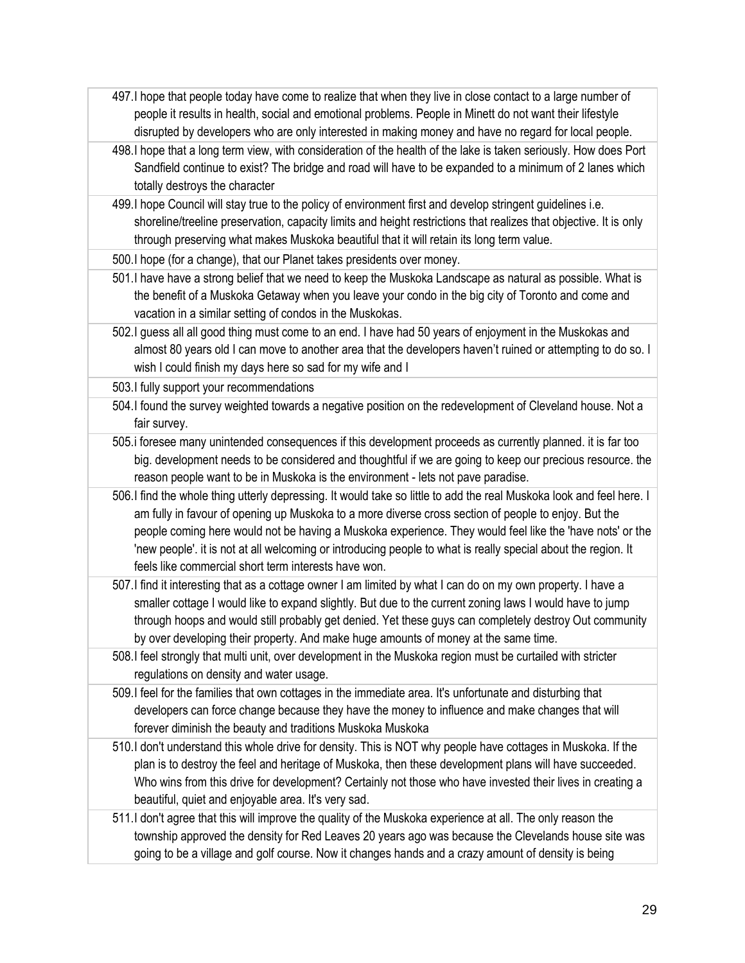- 497.I hope that people today have come to realize that when they live in close contact to a large number of people it results in health, social and emotional problems. People in Minett do not want their lifestyle disrupted by developers who are only interested in making money and have no regard for local people.
- 498.I hope that a long term view, with consideration of the health of the lake is taken seriously. How does Port Sandfield continue to exist? The bridge and road will have to be expanded to a minimum of 2 lanes which totally destroys the character
- 499.I hope Council will stay true to the policy of environment first and develop stringent guidelines i.e. shoreline/treeline preservation, capacity limits and height restrictions that realizes that objective. It is only through preserving what makes Muskoka beautiful that it will retain its long term value.
- 500.I hope (for a change), that our Planet takes presidents over money.
- 501.I have have a strong belief that we need to keep the Muskoka Landscape as natural as possible. What is the benefit of a Muskoka Getaway when you leave your condo in the big city of Toronto and come and vacation in a similar setting of condos in the Muskokas.
- 502.I guess all all good thing must come to an end. I have had 50 years of enjoyment in the Muskokas and almost 80 years old I can move to another area that the developers haven't ruined or attempting to do so. I wish I could finish my days here so sad for my wife and I

503.I fully support your recommendations

- 504.I found the survey weighted towards a negative position on the redevelopment of Cleveland house. Not a fair survey.
- 505.i foresee many unintended consequences if this development proceeds as currently planned. it is far too big. development needs to be considered and thoughtful if we are going to keep our precious resource. the reason people want to be in Muskoka is the environment - lets not pave paradise.
- 506.I find the whole thing utterly depressing. It would take so little to add the real Muskoka look and feel here. I am fully in favour of opening up Muskoka to a more diverse cross section of people to enjoy. But the people coming here would not be having a Muskoka experience. They would feel like the 'have nots' or the 'new people'. it is not at all welcoming or introducing people to what is really special about the region. It feels like commercial short term interests have won.
- 507.I find it interesting that as a cottage owner I am limited by what I can do on my own property. I have a smaller cottage I would like to expand slightly. But due to the current zoning laws I would have to jump through hoops and would still probably get denied. Yet these guys can completely destroy Out community by over developing their property. And make huge amounts of money at the same time.
- 508.I feel strongly that multi unit, over development in the Muskoka region must be curtailed with stricter regulations on density and water usage.
- 509.I feel for the families that own cottages in the immediate area. It's unfortunate and disturbing that developers can force change because they have the money to influence and make changes that will forever diminish the beauty and traditions Muskoka Muskoka
- 510.I don't understand this whole drive for density. This is NOT why people have cottages in Muskoka. If the plan is to destroy the feel and heritage of Muskoka, then these development plans will have succeeded. Who wins from this drive for development? Certainly not those who have invested their lives in creating a beautiful, quiet and enjoyable area. It's very sad.
- 511.I don't agree that this will improve the quality of the Muskoka experience at all. The only reason the township approved the density for Red Leaves 20 years ago was because the Clevelands house site was going to be a village and golf course. Now it changes hands and a crazy amount of density is being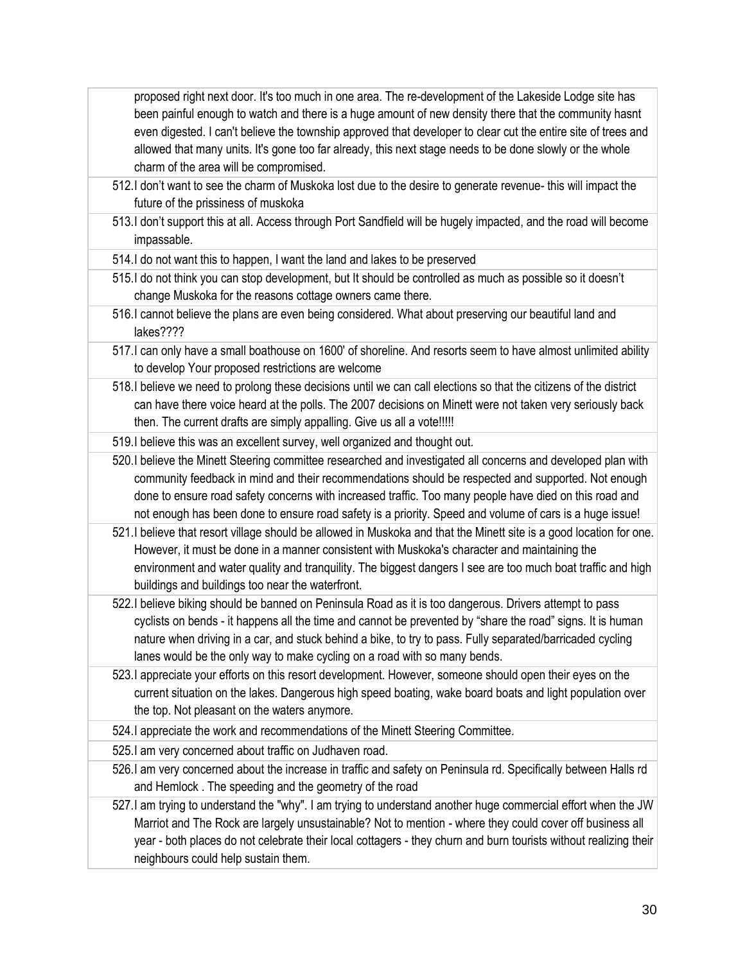proposed right next door. It's too much in one area. The re-development of the Lakeside Lodge site has been painful enough to watch and there is a huge amount of new density there that the community hasnt even digested. I can't believe the township approved that developer to clear cut the entire site of trees and allowed that many units. It's gone too far already, this next stage needs to be done slowly or the whole charm of the area will be compromised.

- 512.I don't want to see the charm of Muskoka lost due to the desire to generate revenue- this will impact the future of the prissiness of muskoka
- 513.I don't support this at all. Access through Port Sandfield will be hugely impacted, and the road will become impassable.
- 514.I do not want this to happen, I want the land and lakes to be preserved
- 515.I do not think you can stop development, but It should be controlled as much as possible so it doesn't change Muskoka for the reasons cottage owners came there.
- 516.I cannot believe the plans are even being considered. What about preserving our beautiful land and lakes????
- 517.I can only have a small boathouse on 1600' of shoreline. And resorts seem to have almost unlimited ability to develop Your proposed restrictions are welcome
- 518.I believe we need to prolong these decisions until we can call elections so that the citizens of the district can have there voice heard at the polls. The 2007 decisions on Minett were not taken very seriously back then. The current drafts are simply appalling. Give us all a vote!!!!!
- 519.I believe this was an excellent survey, well organized and thought out.
- 520.I believe the Minett Steering committee researched and investigated all concerns and developed plan with community feedback in mind and their recommendations should be respected and supported. Not enough done to ensure road safety concerns with increased traffic. Too many people have died on this road and not enough has been done to ensure road safety is a priority. Speed and volume of cars is a huge issue!
- 521.I believe that resort village should be allowed in Muskoka and that the Minett site is a good location for one. However, it must be done in a manner consistent with Muskoka's character and maintaining the environment and water quality and tranquility. The biggest dangers I see are too much boat traffic and high buildings and buildings too near the waterfront.
- 522.I believe biking should be banned on Peninsula Road as it is too dangerous. Drivers attempt to pass cyclists on bends - it happens all the time and cannot be prevented by "share the road" signs. It is human nature when driving in a car, and stuck behind a bike, to try to pass. Fully separated/barricaded cycling lanes would be the only way to make cycling on a road with so many bends.
- 523.I appreciate your efforts on this resort development. However, someone should open their eyes on the current situation on the lakes. Dangerous high speed boating, wake board boats and light population over the top. Not pleasant on the waters anymore.
- 524.I appreciate the work and recommendations of the Minett Steering Committee.
- 525.I am very concerned about traffic on Judhaven road.
- 526.I am very concerned about the increase in traffic and safety on Peninsula rd. Specifically between Halls rd and Hemlock . The speeding and the geometry of the road
- 527.I am trying to understand the "why". I am trying to understand another huge commercial effort when the JW Marriot and The Rock are largely unsustainable? Not to mention - where they could cover off business all year - both places do not celebrate their local cottagers - they churn and burn tourists without realizing their neighbours could help sustain them.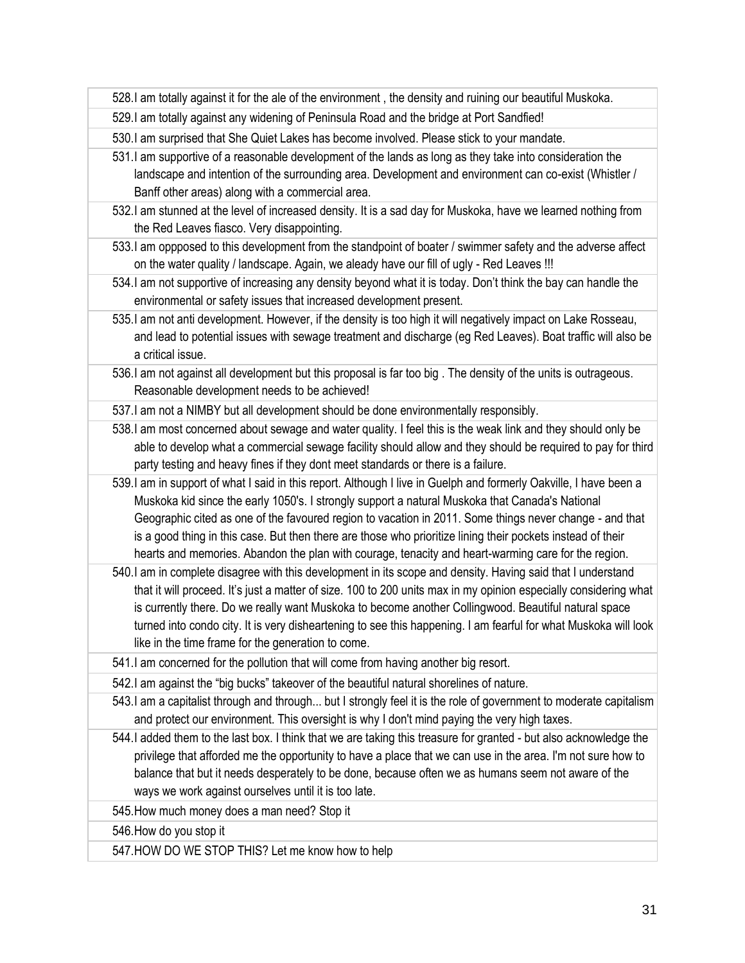528.I am totally against it for the ale of the environment , the density and ruining our beautiful Muskoka.

529.I am totally against any widening of Peninsula Road and the bridge at Port Sandfied!

530.I am surprised that She Quiet Lakes has become involved. Please stick to your mandate.

- 531.I am supportive of a reasonable development of the lands as long as they take into consideration the landscape and intention of the surrounding area. Development and environment can co-exist (Whistler / Banff other areas) along with a commercial area.
- 532.I am stunned at the level of increased density. It is a sad day for Muskoka, have we learned nothing from the Red Leaves fiasco. Very disappointing.
- 533.I am oppposed to this development from the standpoint of boater / swimmer safety and the adverse affect on the water quality / landscape. Again, we aleady have our fill of ugly - Red Leaves !!!
- 534.I am not supportive of increasing any density beyond what it is today. Don't think the bay can handle the environmental or safety issues that increased development present.
- 535.I am not anti development. However, if the density is too high it will negatively impact on Lake Rosseau, and lead to potential issues with sewage treatment and discharge (eg Red Leaves). Boat traffic will also be a critical issue.
- 536.I am not against all development but this proposal is far too big . The density of the units is outrageous. Reasonable development needs to be achieved!

537.I am not a NIMBY but all development should be done environmentally responsibly.

538.I am most concerned about sewage and water quality. I feel this is the weak link and they should only be able to develop what a commercial sewage facility should allow and they should be required to pay for third party testing and heavy fines if they dont meet standards or there is a failure.

539.I am in support of what I said in this report. Although I live in Guelph and formerly Oakville, I have been a Muskoka kid since the early 1050's. I strongly support a natural Muskoka that Canada's National Geographic cited as one of the favoured region to vacation in 2011. Some things never change - and that is a good thing in this case. But then there are those who prioritize lining their pockets instead of their hearts and memories. Abandon the plan with courage, tenacity and heart-warming care for the region.

540.I am in complete disagree with this development in its scope and density. Having said that I understand that it will proceed. It's just a matter of size. 100 to 200 units max in my opinion especially considering what is currently there. Do we really want Muskoka to become another Collingwood. Beautiful natural space turned into condo city. It is very disheartening to see this happening. I am fearful for what Muskoka will look like in the time frame for the generation to come.

541.I am concerned for the pollution that will come from having another big resort.

542.I am against the "big bucks" takeover of the beautiful natural shorelines of nature.

543.I am a capitalist through and through... but I strongly feel it is the role of government to moderate capitalism and protect our environment. This oversight is why I don't mind paying the very high taxes.

544.I added them to the last box. I think that we are taking this treasure for granted - but also acknowledge the privilege that afforded me the opportunity to have a place that we can use in the area. I'm not sure how to balance that but it needs desperately to be done, because often we as humans seem not aware of the ways we work against ourselves until it is too late.

545.How much money does a man need? Stop it

546.How do you stop it

547.HOW DO WE STOP THIS? Let me know how to help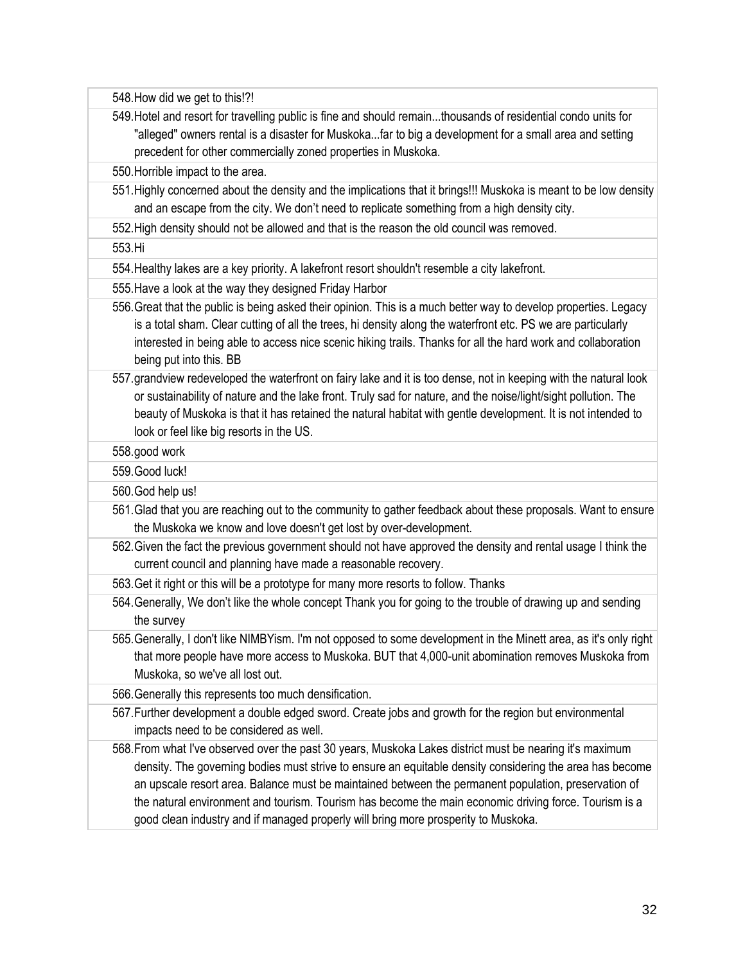548.How did we get to this!?!

549.Hotel and resort for travelling public is fine and should remain...thousands of residential condo units for "alleged" owners rental is a disaster for Muskoka...far to big a development for a small area and setting precedent for other commercially zoned properties in Muskoka.

550.Horrible impact to the area.

551.Highly concerned about the density and the implications that it brings!!! Muskoka is meant to be low density and an escape from the city. We don't need to replicate something from a high density city.

552.High density should not be allowed and that is the reason the old council was removed.

553.Hi

554.Healthy lakes are a key priority. A lakefront resort shouldn't resemble a city lakefront.

555.Have a look at the way they designed Friday Harbor

- 556.Great that the public is being asked their opinion. This is a much better way to develop properties. Legacy is a total sham. Clear cutting of all the trees, hi density along the waterfront etc. PS we are particularly interested in being able to access nice scenic hiking trails. Thanks for all the hard work and collaboration being put into this. BB
- 557.grandview redeveloped the waterfront on fairy lake and it is too dense, not in keeping with the natural look or sustainability of nature and the lake front. Truly sad for nature, and the noise/light/sight pollution. The beauty of Muskoka is that it has retained the natural habitat with gentle development. It is not intended to look or feel like big resorts in the US.

558.good work

559.Good luck!

560.God help us!

- 561.Glad that you are reaching out to the community to gather feedback about these proposals. Want to ensure the Muskoka we know and love doesn't get lost by over-development.
- 562.Given the fact the previous government should not have approved the density and rental usage I think the current council and planning have made a reasonable recovery.
- 563.Get it right or this will be a prototype for many more resorts to follow. Thanks
- 564.Generally, We don't like the whole concept Thank you for going to the trouble of drawing up and sending the survey
- 565.Generally, I don't like NIMBYism. I'm not opposed to some development in the Minett area, as it's only right that more people have more access to Muskoka. BUT that 4,000-unit abomination removes Muskoka from Muskoka, so we've all lost out.

566.Generally this represents too much densification.

- 567.Further development a double edged sword. Create jobs and growth for the region but environmental impacts need to be considered as well.
- 568.From what I've observed over the past 30 years, Muskoka Lakes district must be nearing it's maximum density. The governing bodies must strive to ensure an equitable density considering the area has become an upscale resort area. Balance must be maintained between the permanent population, preservation of the natural environment and tourism. Tourism has become the main economic driving force. Tourism is a good clean industry and if managed properly will bring more prosperity to Muskoka.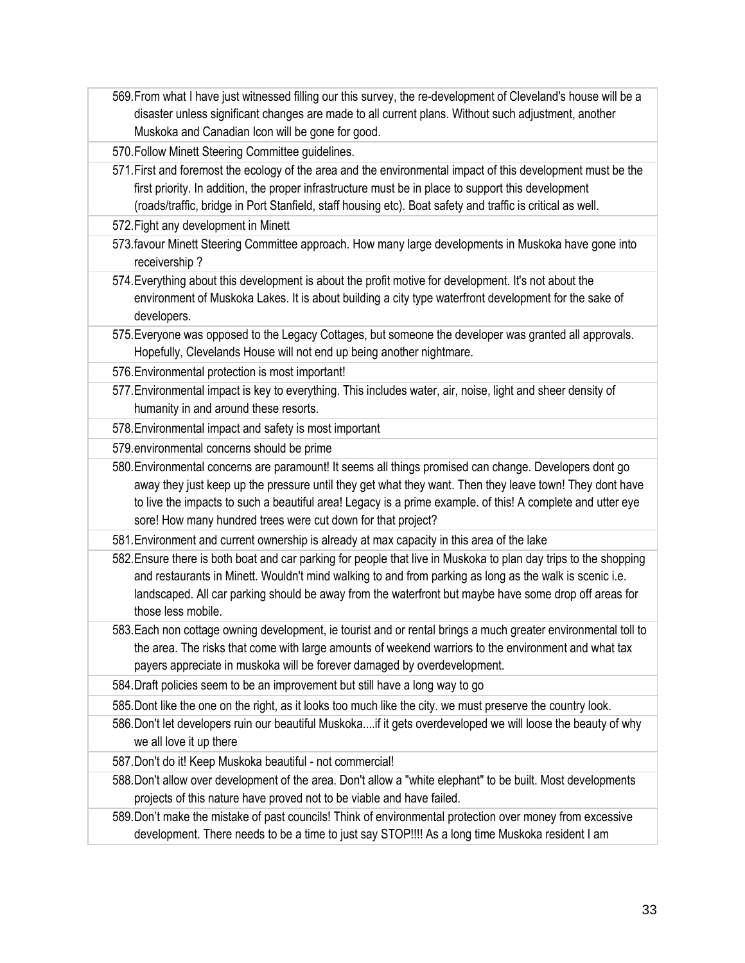569.From what I have just witnessed filling our this survey, the re-development of Cleveland's house will be a disaster unless significant changes are made to all current plans. Without such adjustment, another Muskoka and Canadian Icon will be gone for good.

570.Follow Minett Steering Committee guidelines.

- 571.First and foremost the ecology of the area and the environmental impact of this development must be the first priority. In addition, the proper infrastructure must be in place to support this development (roads/traffic, bridge in Port Stanfield, staff housing etc). Boat safety and traffic is critical as well.
- 572.Fight any development in Minett
- 573.favour Minett Steering Committee approach. How many large developments in Muskoka have gone into receivership ?
- 574.Everything about this development is about the profit motive for development. It's not about the environment of Muskoka Lakes. It is about building a city type waterfront development for the sake of developers.
- 575.Everyone was opposed to the Legacy Cottages, but someone the developer was granted all approvals. Hopefully, Clevelands House will not end up being another nightmare.
- 576.Environmental protection is most important!
- 577.Environmental impact is key to everything. This includes water, air, noise, light and sheer density of humanity in and around these resorts.
- 578.Environmental impact and safety is most important
- 579.environmental concerns should be prime
- 580.Environmental concerns are paramount! It seems all things promised can change. Developers dont go away they just keep up the pressure until they get what they want. Then they leave town! They dont have to live the impacts to such a beautiful area! Legacy is a prime example. of this! A complete and utter eye sore! How many hundred trees were cut down for that project?
- 581.Environment and current ownership is already at max capacity in this area of the lake
- 582.Ensure there is both boat and car parking for people that live in Muskoka to plan day trips to the shopping and restaurants in Minett. Wouldn't mind walking to and from parking as long as the walk is scenic i.e. landscaped. All car parking should be away from the waterfront but maybe have some drop off areas for those less mobile.
- 583.Each non cottage owning development, ie tourist and or rental brings a much greater environmental toll to the area. The risks that come with large amounts of weekend warriors to the environment and what tax payers appreciate in muskoka will be forever damaged by overdevelopment.
- 584.Draft policies seem to be an improvement but still have a long way to go
- 585.Dont like the one on the right, as it looks too much like the city. we must preserve the country look.
- 586.Don't let developers ruin our beautiful Muskoka....if it gets overdeveloped we will loose the beauty of why we all love it up there
- 587.Don't do it! Keep Muskoka beautiful not commercial!
- 588.Don't allow over development of the area. Don't allow a "white elephant" to be built. Most developments projects of this nature have proved not to be viable and have failed.
- 589.Don't make the mistake of past councils! Think of environmental protection over money from excessive development. There needs to be a time to just say STOP!!!! As a long time Muskoka resident I am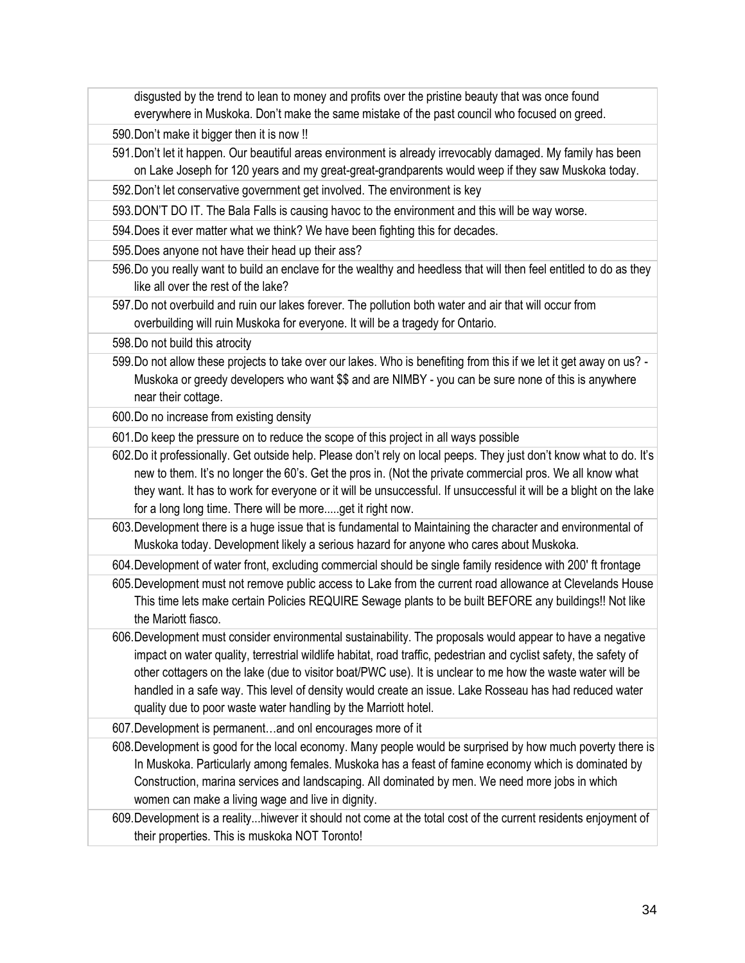disgusted by the trend to lean to money and profits over the pristine beauty that was once found everywhere in Muskoka. Don't make the same mistake of the past council who focused on greed.

590.Don't make it bigger then it is now !!

591.Don't let it happen. Our beautiful areas environment is already irrevocably damaged. My family has been on Lake Joseph for 120 years and my great-great-grandparents would weep if they saw Muskoka today.

592.Don't let conservative government get involved. The environment is key

593.DON'T DO IT. The Bala Falls is causing havoc to the environment and this will be way worse.

- 594.Does it ever matter what we think? We have been fighting this for decades.
- 595.Does anyone not have their head up their ass?
- 596.Do you really want to build an enclave for the wealthy and heedless that will then feel entitled to do as they like all over the rest of the lake?
- 597.Do not overbuild and ruin our lakes forever. The pollution both water and air that will occur from overbuilding will ruin Muskoka for everyone. It will be a tragedy for Ontario.
- 598.Do not build this atrocity
- 599.Do not allow these projects to take over our lakes. Who is benefiting from this if we let it get away on us? Muskoka or greedy developers who want \$\$ and are NIMBY - you can be sure none of this is anywhere near their cottage.

600.Do no increase from existing density

- 601.Do keep the pressure on to reduce the scope of this project in all ways possible
- 602.Do it professionally. Get outside help. Please don't rely on local peeps. They just don't know what to do. It's new to them. It's no longer the 60's. Get the pros in. (Not the private commercial pros. We all know what they want. It has to work for everyone or it will be unsuccessful. If unsuccessful it will be a blight on the lake for a long long time. There will be more.....get it right now.
- 603.Development there is a huge issue that is fundamental to Maintaining the character and environmental of Muskoka today. Development likely a serious hazard for anyone who cares about Muskoka.

604.Development of water front, excluding commercial should be single family residence with 200' ft frontage

- 605.Development must not remove public access to Lake from the current road allowance at Clevelands House This time lets make certain Policies REQUIRE Sewage plants to be built BEFORE any buildings!! Not like the Mariott fiasco.
- 606.Development must consider environmental sustainability. The proposals would appear to have a negative impact on water quality, terrestrial wildlife habitat, road traffic, pedestrian and cyclist safety, the safety of other cottagers on the lake (due to visitor boat/PWC use). It is unclear to me how the waste water will be handled in a safe way. This level of density would create an issue. Lake Rosseau has had reduced water quality due to poor waste water handling by the Marriott hotel.

607.Development is permanent…and onl encourages more of it

- 608.Development is good for the local economy. Many people would be surprised by how much poverty there is In Muskoka. Particularly among females. Muskoka has a feast of famine economy which is dominated by Construction, marina services and landscaping. All dominated by men. We need more jobs in which women can make a living wage and live in dignity.
- 609.Development is a reality...hiwever it should not come at the total cost of the current residents enjoyment of their properties. This is muskoka NOT Toronto!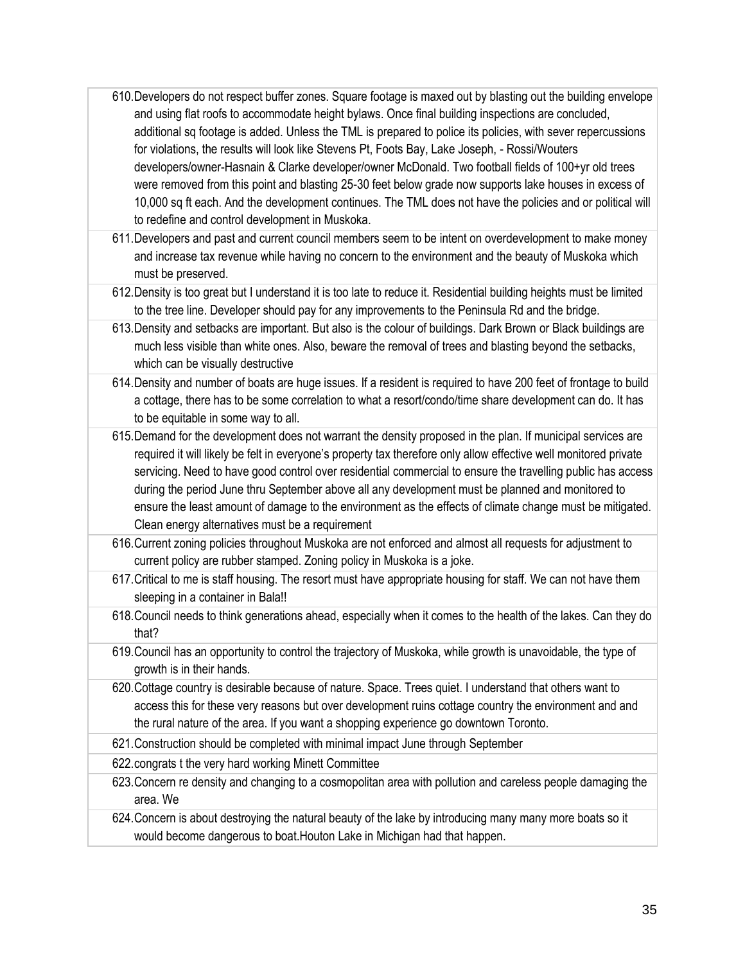- 610.Developers do not respect buffer zones. Square footage is maxed out by blasting out the building envelope and using flat roofs to accommodate height bylaws. Once final building inspections are concluded, additional sq footage is added. Unless the TML is prepared to police its policies, with sever repercussions for violations, the results will look like Stevens Pt, Foots Bay, Lake Joseph, - Rossi/Wouters developers/owner-Hasnain & Clarke developer/owner McDonald. Two football fields of 100+yr old trees were removed from this point and blasting 25-30 feet below grade now supports lake houses in excess of 10,000 sq ft each. And the development continues. The TML does not have the policies and or political will to redefine and control development in Muskoka.
- 611.Developers and past and current council members seem to be intent on overdevelopment to make money and increase tax revenue while having no concern to the environment and the beauty of Muskoka which must be preserved.
- 612.Density is too great but I understand it is too late to reduce it. Residential building heights must be limited to the tree line. Developer should pay for any improvements to the Peninsula Rd and the bridge.
- 613.Density and setbacks are important. But also is the colour of buildings. Dark Brown or Black buildings are much less visible than white ones. Also, beware the removal of trees and blasting beyond the setbacks, which can be visually destructive
- 614.Density and number of boats are huge issues. If a resident is required to have 200 feet of frontage to build a cottage, there has to be some correlation to what a resort/condo/time share development can do. It has to be equitable in some way to all.

615.Demand for the development does not warrant the density proposed in the plan. If municipal services are required it will likely be felt in everyone's property tax therefore only allow effective well monitored private servicing. Need to have good control over residential commercial to ensure the travelling public has access during the period June thru September above all any development must be planned and monitored to ensure the least amount of damage to the environment as the effects of climate change must be mitigated. Clean energy alternatives must be a requirement

- 616.Current zoning policies throughout Muskoka are not enforced and almost all requests for adjustment to current policy are rubber stamped. Zoning policy in Muskoka is a joke.
- 617.Critical to me is staff housing. The resort must have appropriate housing for staff. We can not have them sleeping in a container in Bala!!
- 618.Council needs to think generations ahead, especially when it comes to the health of the lakes. Can they do that?
- 619.Council has an opportunity to control the trajectory of Muskoka, while growth is unavoidable, the type of growth is in their hands.
- 620.Cottage country is desirable because of nature. Space. Trees quiet. I understand that others want to access this for these very reasons but over development ruins cottage country the environment and and the rural nature of the area. If you want a shopping experience go downtown Toronto.
- 621.Construction should be completed with minimal impact June through September
- 622.congrats t the very hard working Minett Committee
- 623.Concern re density and changing to a cosmopolitan area with pollution and careless people damaging the area. We

624.Concern is about destroying the natural beauty of the lake by introducing many many more boats so it would become dangerous to boat.Houton Lake in Michigan had that happen.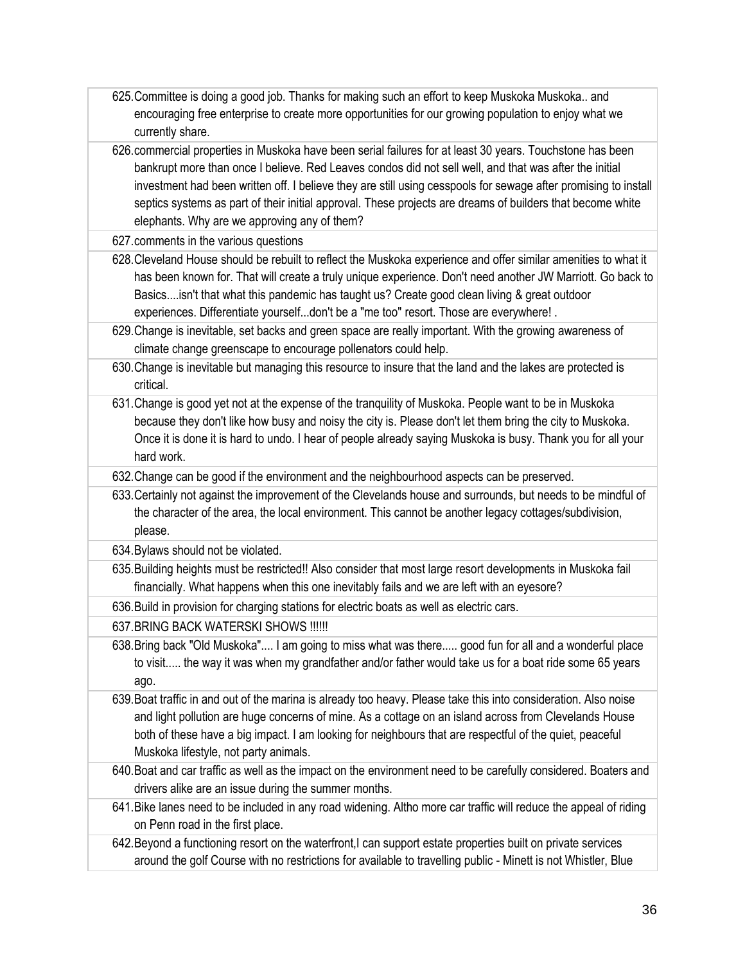625.Committee is doing a good job. Thanks for making such an effort to keep Muskoka Muskoka.. and encouraging free enterprise to create more opportunities for our growing population to enjoy what we currently share. 626.commercial properties in Muskoka have been serial failures for at least 30 years. Touchstone has been bankrupt more than once I believe. Red Leaves condos did not sell well, and that was after the initial investment had been written off. I believe they are still using cesspools for sewage after promising to install septics systems as part of their initial approval. These projects are dreams of builders that become white elephants. Why are we approving any of them? 627.comments in the various questions 628.Cleveland House should be rebuilt to reflect the Muskoka experience and offer similar amenities to what it has been known for. That will create a truly unique experience. Don't need another JW Marriott. Go back to Basics....isn't that what this pandemic has taught us? Create good clean living & great outdoor experiences. Differentiate yourself...don't be a "me too" resort. Those are everywhere! . 629.Change is inevitable, set backs and green space are really important. With the growing awareness of climate change greenscape to encourage pollenators could help. 630.Change is inevitable but managing this resource to insure that the land and the lakes are protected is critical. 631.Change is good yet not at the expense of the tranquility of Muskoka. People want to be in Muskoka because they don't like how busy and noisy the city is. Please don't let them bring the city to Muskoka. Once it is done it is hard to undo. I hear of people already saying Muskoka is busy. Thank you for all your hard work. 632.Change can be good if the environment and the neighbourhood aspects can be preserved. 633.Certainly not against the improvement of the Clevelands house and surrounds, but needs to be mindful of the character of the area, the local environment. This cannot be another legacy cottages/subdivision, please. 634.Bylaws should not be violated. 635.Building heights must be restricted!! Also consider that most large resort developments in Muskoka fail financially. What happens when this one inevitably fails and we are left with an eyesore? 636.Build in provision for charging stations for electric boats as well as electric cars. 637.BRING BACK WATERSKI SHOWS !!!!!! 638.Bring back "Old Muskoka".... I am going to miss what was there..... good fun for all and a wonderful place to visit..... the way it was when my grandfather and/or father would take us for a boat ride some 65 years ago. 639.Boat traffic in and out of the marina is already too heavy. Please take this into consideration. Also noise and light pollution are huge concerns of mine. As a cottage on an island across from Clevelands House both of these have a big impact. I am looking for neighbours that are respectful of the quiet, peaceful Muskoka lifestyle, not party animals. 640.Boat and car traffic as well as the impact on the environment need to be carefully considered. Boaters and drivers alike are an issue during the summer months. 641.Bike lanes need to be included in any road widening. Altho more car traffic will reduce the appeal of riding on Penn road in the first place. 642.Beyond a functioning resort on the waterfront,I can support estate properties built on private services around the golf Course with no restrictions for available to travelling public - Minett is not Whistler, Blue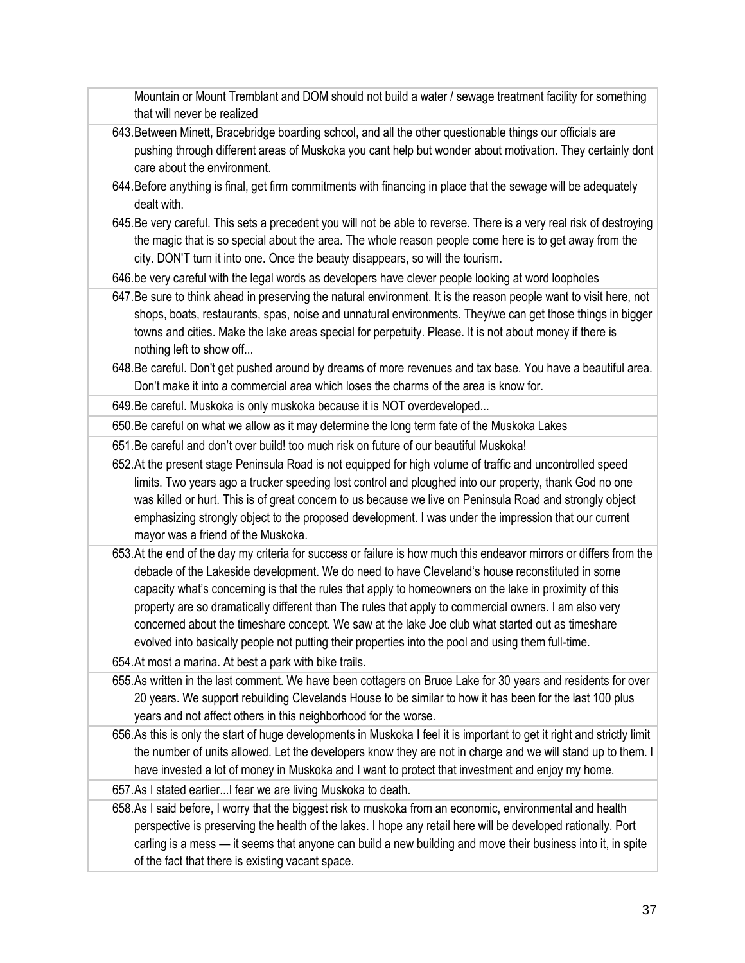Mountain or Mount Tremblant and DOM should not build a water / sewage treatment facility for something that will never be realized

- 643.Between Minett, Bracebridge boarding school, and all the other questionable things our officials are pushing through different areas of Muskoka you cant help but wonder about motivation. They certainly dont care about the environment.
- 644.Before anything is final, get firm commitments with financing in place that the sewage will be adequately dealt with.
- 645.Be very careful. This sets a precedent you will not be able to reverse. There is a very real risk of destroying the magic that is so special about the area. The whole reason people come here is to get away from the city. DON'T turn it into one. Once the beauty disappears, so will the tourism.
- 646.be very careful with the legal words as developers have clever people looking at word loopholes
- 647.Be sure to think ahead in preserving the natural environment. It is the reason people want to visit here, not shops, boats, restaurants, spas, noise and unnatural environments. They/we can get those things in bigger towns and cities. Make the lake areas special for perpetuity. Please. It is not about money if there is nothing left to show off...
- 648.Be careful. Don't get pushed around by dreams of more revenues and tax base. You have a beautiful area. Don't make it into a commercial area which loses the charms of the area is know for.
- 649.Be careful. Muskoka is only muskoka because it is NOT overdeveloped...
- 650.Be careful on what we allow as it may determine the long term fate of the Muskoka Lakes
- 651.Be careful and don't over build! too much risk on future of our beautiful Muskoka!
- 652.At the present stage Peninsula Road is not equipped for high volume of traffic and uncontrolled speed limits. Two years ago a trucker speeding lost control and ploughed into our property, thank God no one was killed or hurt. This is of great concern to us because we live on Peninsula Road and strongly object emphasizing strongly object to the proposed development. I was under the impression that our current mayor was a friend of the Muskoka.
- 653.At the end of the day my criteria for success or failure is how much this endeavor mirrors or differs from the debacle of the Lakeside development. We do need to have Cleveland's house reconstituted in some capacity what's concerning is that the rules that apply to homeowners on the lake in proximity of this property are so dramatically different than The rules that apply to commercial owners. I am also very concerned about the timeshare concept. We saw at the lake Joe club what started out as timeshare evolved into basically people not putting their properties into the pool and using them full-time.

654.At most a marina. At best a park with bike trails.

- 655.As written in the last comment. We have been cottagers on Bruce Lake for 30 years and residents for over 20 years. We support rebuilding Clevelands House to be similar to how it has been for the last 100 plus years and not affect others in this neighborhood for the worse.
- 656.As this is only the start of huge developments in Muskoka I feel it is important to get it right and strictly limit the number of units allowed. Let the developers know they are not in charge and we will stand up to them. I have invested a lot of money in Muskoka and I want to protect that investment and enjoy my home.
- 657.As I stated earlier...I fear we are living Muskoka to death.
- 658.As I said before, I worry that the biggest risk to muskoka from an economic, environmental and health perspective is preserving the health of the lakes. I hope any retail here will be developed rationally. Port carling is a mess — it seems that anyone can build a new building and move their business into it, in spite of the fact that there is existing vacant space.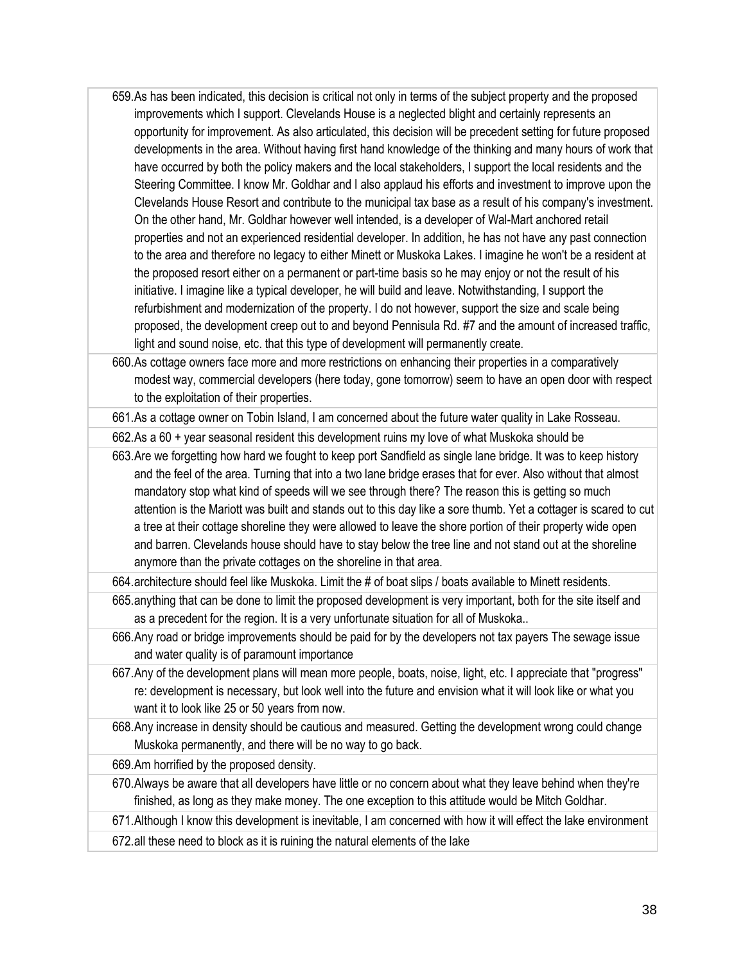- 659.As has been indicated, this decision is critical not only in terms of the subject property and the proposed improvements which I support. Clevelands House is a neglected blight and certainly represents an opportunity for improvement. As also articulated, this decision will be precedent setting for future proposed developments in the area. Without having first hand knowledge of the thinking and many hours of work that have occurred by both the policy makers and the local stakeholders, I support the local residents and the Steering Committee. I know Mr. Goldhar and I also applaud his efforts and investment to improve upon the Clevelands House Resort and contribute to the municipal tax base as a result of his company's investment. On the other hand, Mr. Goldhar however well intended, is a developer of Wal-Mart anchored retail properties and not an experienced residential developer. In addition, he has not have any past connection to the area and therefore no legacy to either Minett or Muskoka Lakes. I imagine he won't be a resident at the proposed resort either on a permanent or part-time basis so he may enjoy or not the result of his initiative. I imagine like a typical developer, he will build and leave. Notwithstanding, I support the refurbishment and modernization of the property. I do not however, support the size and scale being proposed, the development creep out to and beyond Pennisula Rd. #7 and the amount of increased traffic, light and sound noise, etc. that this type of development will permanently create.
- 660.As cottage owners face more and more restrictions on enhancing their properties in a comparatively modest way, commercial developers (here today, gone tomorrow) seem to have an open door with respect to the exploitation of their properties.
- 661.As a cottage owner on Tobin Island, I am concerned about the future water quality in Lake Rosseau.
- 662.As a 60 + year seasonal resident this development ruins my love of what Muskoka should be
- 663.Are we forgetting how hard we fought to keep port Sandfield as single lane bridge. It was to keep history and the feel of the area. Turning that into a two lane bridge erases that for ever. Also without that almost mandatory stop what kind of speeds will we see through there? The reason this is getting so much attention is the Mariott was built and stands out to this day like a sore thumb. Yet a cottager is scared to cut a tree at their cottage shoreline they were allowed to leave the shore portion of their property wide open and barren. Clevelands house should have to stay below the tree line and not stand out at the shoreline anymore than the private cottages on the shoreline in that area.
- 664.architecture should feel like Muskoka. Limit the # of boat slips / boats available to Minett residents.
- 665.anything that can be done to limit the proposed development is very important, both for the site itself and as a precedent for the region. It is a very unfortunate situation for all of Muskoka..
- 666.Any road or bridge improvements should be paid for by the developers not tax payers The sewage issue and water quality is of paramount importance
- 667.Any of the development plans will mean more people, boats, noise, light, etc. I appreciate that "progress" re: development is necessary, but look well into the future and envision what it will look like or what you want it to look like 25 or 50 years from now.
- 668.Any increase in density should be cautious and measured. Getting the development wrong could change Muskoka permanently, and there will be no way to go back.
- 669.Am horrified by the proposed density.
- 670.Always be aware that all developers have little or no concern about what they leave behind when they're finished, as long as they make money. The one exception to this attitude would be Mitch Goldhar.
- 671.Although I know this development is inevitable, I am concerned with how it will effect the lake environment
- 672.all these need to block as it is ruining the natural elements of the lake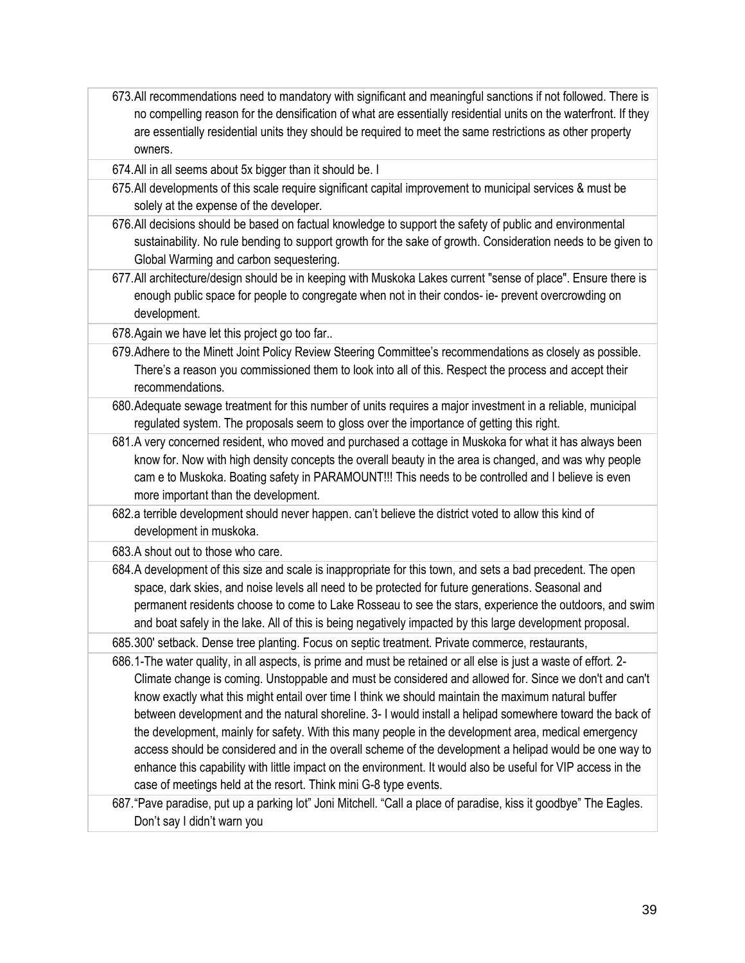673.All recommendations need to mandatory with significant and meaningful sanctions if not followed. There is no compelling reason for the densification of what are essentially residential units on the waterfront. If they are essentially residential units they should be required to meet the same restrictions as other property owners.

674.All in all seems about 5x bigger than it should be. I

- 675.All developments of this scale require significant capital improvement to municipal services & must be solely at the expense of the developer.
- 676.All decisions should be based on factual knowledge to support the safety of public and environmental sustainability. No rule bending to support growth for the sake of growth. Consideration needs to be given to Global Warming and carbon sequestering.
- 677.All architecture/design should be in keeping with Muskoka Lakes current "sense of place". Ensure there is enough public space for people to congregate when not in their condos- ie- prevent overcrowding on development.

678.Again we have let this project go too far..

- 679.Adhere to the Minett Joint Policy Review Steering Committee's recommendations as closely as possible. There's a reason you commissioned them to look into all of this. Respect the process and accept their recommendations.
- 680.Adequate sewage treatment for this number of units requires a major investment in a reliable, municipal regulated system. The proposals seem to gloss over the importance of getting this right.
- 681.A very concerned resident, who moved and purchased a cottage in Muskoka for what it has always been know for. Now with high density concepts the overall beauty in the area is changed, and was why people cam e to Muskoka. Boating safety in PARAMOUNT!!! This needs to be controlled and I believe is even more important than the development.
- 682.a terrible development should never happen. can't believe the district voted to allow this kind of development in muskoka.

683.A shout out to those who care.

684.A development of this size and scale is inappropriate for this town, and sets a bad precedent. The open space, dark skies, and noise levels all need to be protected for future generations. Seasonal and permanent residents choose to come to Lake Rosseau to see the stars, experience the outdoors, and swim and boat safely in the lake. All of this is being negatively impacted by this large development proposal.

685.300' setback. Dense tree planting. Focus on septic treatment. Private commerce, restaurants,

686.1-The water quality, in all aspects, is prime and must be retained or all else is just a waste of effort. 2- Climate change is coming. Unstoppable and must be considered and allowed for. Since we don't and can't know exactly what this might entail over time I think we should maintain the maximum natural buffer between development and the natural shoreline. 3- I would install a helipad somewhere toward the back of the development, mainly for safety. With this many people in the development area, medical emergency access should be considered and in the overall scheme of the development a helipad would be one way to enhance this capability with little impact on the environment. It would also be useful for VIP access in the case of meetings held at the resort. Think mini G-8 type events.

687."Pave paradise, put up a parking lot" Joni Mitchell. "Call a place of paradise, kiss it goodbye" The Eagles. Don't say I didn't warn you